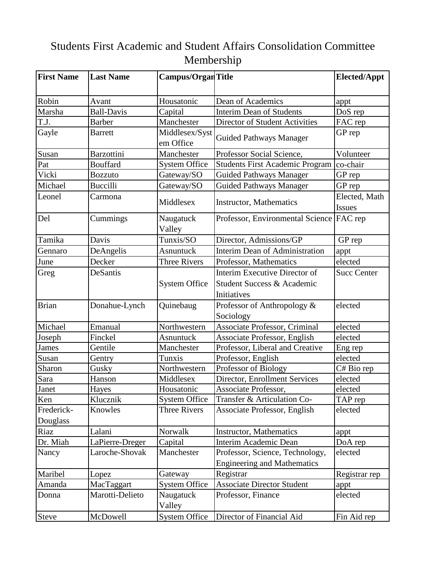## Students First Academic and Student Affairs Consolidation Committee Membership

| <b>First Name</b>      | <b>Last Name</b>  | Campus/Organ Title          |                                                                            | <b>Elected/Appt</b>     |
|------------------------|-------------------|-----------------------------|----------------------------------------------------------------------------|-------------------------|
| Robin                  | Avant             | Housatonic                  | Dean of Academics                                                          | appt                    |
| Marsha                 | <b>Ball-Davis</b> | Capital                     | <b>Interim Dean of Students</b>                                            | DoS <sub>rep</sub>      |
| T.J.                   | <b>Barber</b>     | Manchester                  | Director of Student Activities                                             | FAC rep                 |
| Gayle                  | <b>Barrett</b>    | Middlesex/Syst<br>em Office | <b>Guided Pathways Manager</b>                                             | GP rep                  |
| Susan                  | <b>Barzottini</b> | Manchester                  | Professor Social Science,                                                  | Volunteer               |
| Pat                    | <b>Bouffard</b>   | <b>System Office</b>        | <b>Students First Academic Program</b>                                     | co-chair                |
| Vicki                  | <b>Bozzuto</b>    | Gateway/SO                  | <b>Guided Pathways Manager</b>                                             | GP rep                  |
| Michael                | <b>Buccilli</b>   | Gateway/SO                  | <b>Guided Pathways Manager</b>                                             | GP rep                  |
| Leonel                 | Carmona           | Middlesex                   | <b>Instructor, Mathematics</b>                                             | Elected, Math<br>Issues |
| Del                    | Cummings          | Naugatuck<br>Valley         | Professor, Environmental Science   FAC rep                                 |                         |
| Tamika                 | Davis             | Tunxis/SO                   | Director, Admissions/GP                                                    | GP rep                  |
| Gennaro                | DeAngelis         | <b>Asnuntuck</b>            | Interim Dean of Administration                                             | appt                    |
| June                   | Decker            | <b>Three Rivers</b>         | Professor, Mathematics                                                     | elected                 |
| Greg                   | DeSantis          | <b>System Office</b>        | Interim Executive Director of<br>Student Success & Academic<br>Initiatives | <b>Succ Center</b>      |
| <b>Brian</b>           | Donahue-Lynch     | Quinebaug                   | Professor of Anthropology &<br>Sociology                                   | elected                 |
| Michael                | Emanual           | Northwestern                | <b>Associate Professor, Criminal</b>                                       | elected                 |
| Joseph                 | Finckel           | <b>Asnuntuck</b>            | <b>Associate Professor, English</b>                                        | elected                 |
| <b>James</b>           | Gentile           | Manchester                  | Professor, Liberal and Creative                                            | Eng rep                 |
| Susan                  | Gentry            | Tunxis                      | Professor, English                                                         | elected                 |
| Sharon                 | Gusky             | Northwestern                | Professor of Biology                                                       | C# Bio rep              |
| Sara                   | Hanson            | Middlesex                   | Director, Enrollment Services                                              | elected                 |
| Janet                  | Hayes             | Housatonic                  | Associate Professor,                                                       | elected                 |
| Ken                    | Klucznik          | <b>System Office</b>        | Transfer & Articulation Co-                                                | TAP rep                 |
| Frederick-<br>Douglass | Knowles           | Three Rivers                | Associate Professor, English                                               | elected                 |
| Riaz                   | Lalani            | Norwalk                     | <b>Instructor, Mathematics</b>                                             | appt                    |
| Dr. Miah               | LaPierre-Dreger   | Capital                     | Interim Academic Dean                                                      | DoA rep                 |
| Nancy                  | Laroche-Shovak    | Manchester                  | Professor, Science, Technology,<br><b>Engineering and Mathematics</b>      | elected                 |
| Maribel                | Lopez             | Gateway                     | Registrar                                                                  | Registrar rep           |
| Amanda                 | MacTaggart        | <b>System Office</b>        | <b>Associate Director Student</b>                                          | appt                    |
| Donna                  | Marotti-Delieto   | Naugatuck<br>Valley         | Professor, Finance                                                         | elected                 |
| <b>Steve</b>           | McDowell          | <b>System Office</b>        | Director of Financial Aid                                                  | Fin Aid rep             |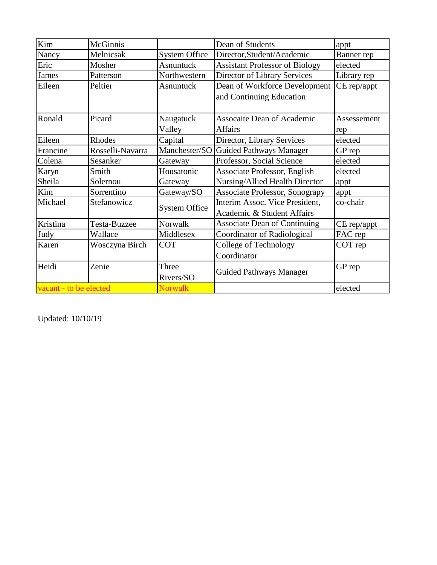| Kim                    | McGinnis         |                      | Dean of Students                                             | appt        |
|------------------------|------------------|----------------------|--------------------------------------------------------------|-------------|
| Nancy                  | Melnicsak        | <b>System Office</b> | Director, Student/Academic                                   | Banner rep  |
| Eric                   | Mosher           | Asnuntuck            | <b>Assistant Professor of Biology</b>                        | elected     |
| <b>James</b>           | Patterson        | Northwestern         | Director of Library Services                                 | Library rep |
| Eileen                 | Peltier          | Asnuntuck            | Dean of Workforce Development                                | CE rep/appt |
|                        |                  |                      | and Continuing Education                                     |             |
| Ronald                 | Picard           | Naugatuck            | <b>Assocaite Dean of Academic</b>                            | Assessement |
|                        |                  | Valley               | <b>Affairs</b>                                               | rep         |
| Eileen                 | Rhodes           | Capital              | Director, Library Services                                   | elected     |
| Francine               | Rosselli-Navarra | Manchester/SO        | <b>Guided Pathways Manager</b>                               | GP rep      |
| Colena                 | Sesanker         | Gateway              | Professor, Social Science                                    | elected     |
| <b>Karyn</b>           | Smith            | Housatonic           | Associate Professor, English                                 | elected     |
| Sheila                 | Solernou         | Gateway              | Nursing/Allied Health Director                               | appt        |
| Kim                    | Sorrentino       | Gateway/SO           | Associate Professor, Sonograpy                               | appt        |
| Michael                | Stefanowicz      | <b>System Office</b> | Interim Assoc. Vice President,<br>Academic & Student Affairs | co-chair    |
| Kristina               | Testa-Buzzee     | Norwalk              | <b>Associate Dean of Continuing</b>                          | CE rep/appt |
| Judy                   | Wallace          | Middlesex            | Coordinator of Radiological                                  | FAC rep     |
| Karen                  | Wosczyna Birch   | <b>COT</b>           | College of Technology<br>Coordinator                         | COT rep     |
| Heidi                  | Zenie            | Three<br>Rivers/SO   | GP rep<br><b>Guided Pathways Manager</b>                     |             |
| vacant - to be elected |                  | <b>Norwalk</b>       |                                                              | elected     |

Updated: 10/10/19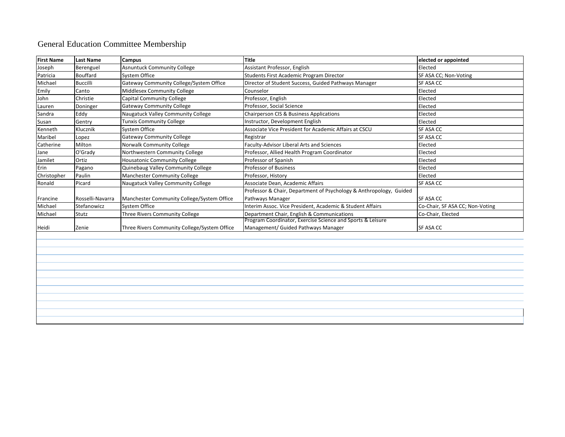## General Education Committee Membership

| <b>First Name</b> | <b>Last Name</b> | Campus                                       | <b>Title</b>                                                       | elected or appointed            |
|-------------------|------------------|----------------------------------------------|--------------------------------------------------------------------|---------------------------------|
| Joseph            | Berenguel        | <b>Asnuntuck Community College</b>           | Assistant Professor, English                                       | Elected                         |
| Patricia          | <b>Bouffard</b>  | System Office                                | Students First Academic Program Director                           | SF ASA CC; Non-Voting           |
| Michael           | <b>Buccilli</b>  | Gateway Community College/System Office      | Director of Student Success, Guided Pathways Manager               | SF ASA CC                       |
| Emily             | Canto            | Middlesex Community College                  | Counselor                                                          | Elected                         |
| John              | Christie         | <b>Capital Community College</b>             | Professor, English                                                 | Elected                         |
| Lauren            | Doninger         | <b>Gateway Community College</b>             | Professor, Social Science                                          | Elected                         |
| Sandra            | Eddy             | Naugatuck Valley Community College           | Chairperson CIS & Business Applications                            | Elected                         |
| Susan             | Gentry           | <b>Tunxis Community College</b>              | Instructor, Development English                                    | Elected                         |
| Kenneth           | Klucznik         | <b>System Office</b>                         | Associate Vice President for Academic Affairs at CSCU              | SF ASA CC                       |
| Maribel           | Lopez            | <b>Gateway Community College</b>             | Registrar                                                          | SF ASA CC                       |
| Catherine         | Milton           | Norwalk Community College                    | Faculty-Advisor Liberal Arts and Sciences                          | Elected                         |
| Jane              | O'Grady          | Northwestern Community College               | Professor, Allied Health Program Coordinator                       | Elected                         |
| Jamilet           | Ortiz            | <b>Housatonic Community College</b>          | Professor of Spanish                                               | Elected                         |
| Erin              | Pagano           | Quinebaug Valley Community College           | <b>Professor of Business</b>                                       | Elected                         |
| Christopher       | Paulin           | <b>Manchester Community College</b>          | Professor, History                                                 | Elected                         |
| Ronald            | Picard           | Naugatuck Valley Community College           | Associate Dean, Academic Affairs                                   | SF ASA CC                       |
|                   |                  |                                              | Professor & Chair, Department of Psychology & Anthropology, Guided |                                 |
| Francine          | Rosselli-Navarra | Manchester Community College/System Office   | Pathways Manager                                                   | SF ASA CC                       |
| Michael           | Stefanowicz      | <b>System Office</b>                         | Interim Assoc. Vice President, Academic & Student Affairs          | Co-Chair, SF ASA CC; Non-Voting |
| Michael           | Stutz            | Three Rivers Community College               | Department Chair, English & Communications                         | Co-Chair, Elected               |
|                   |                  |                                              | Program Coordinator, Exercise Science and Sports & Leisure         |                                 |
| Heidi             | Zenie            | Three Rivers Community College/System Office | Management/ Guided Pathways Manager                                | <b>SF ASA CC</b>                |
|                   |                  |                                              |                                                                    |                                 |
|                   |                  |                                              |                                                                    |                                 |
|                   |                  |                                              |                                                                    |                                 |
|                   |                  |                                              |                                                                    |                                 |
|                   |                  |                                              |                                                                    |                                 |
|                   |                  |                                              |                                                                    |                                 |
|                   |                  |                                              |                                                                    |                                 |
|                   |                  |                                              |                                                                    |                                 |
|                   |                  |                                              |                                                                    |                                 |
|                   |                  |                                              |                                                                    |                                 |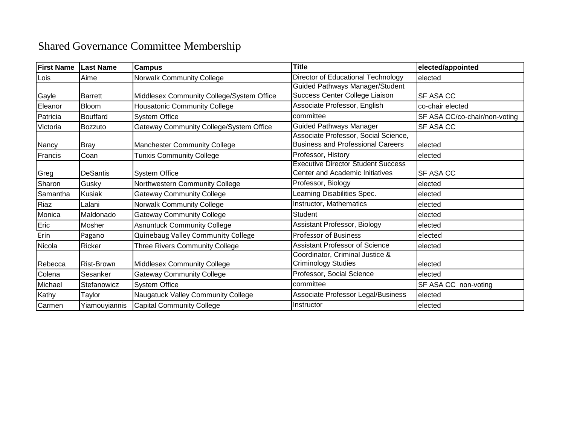## Shared Governance Committee Membership

| <b>First Name</b> | <b>Last Name</b>  | <b>Campus</b>                                  | <b>Title</b>                                                                     | elected/appointed             |
|-------------------|-------------------|------------------------------------------------|----------------------------------------------------------------------------------|-------------------------------|
| Lois              | Aime              | <b>Norwalk Community College</b>               | Director of Educational Technology                                               | elected                       |
|                   |                   |                                                | Guided Pathways Manager/Student                                                  |                               |
| Gayle             | <b>Barrett</b>    | Middlesex Community College/System Office      | Success Center College Liaison                                                   | <b>SF ASA CC</b>              |
| Eleanor           | <b>Bloom</b>      | <b>Housatonic Community College</b>            | Associate Professor, English                                                     | co-chair elected              |
| Patricia          | Bouffard          | <b>System Office</b>                           | committee                                                                        | SF ASA CC/co-chair/non-voting |
| Victoria          | Bozzuto           | <b>Gateway Community College/System Office</b> | <b>Guided Pathways Manager</b>                                                   | SF ASA CC                     |
| Nancy             | Bray              | <b>Manchester Community College</b>            | Associate Professor, Social Science,<br><b>Business and Professional Careers</b> | elected                       |
| Francis           | Coan              | <b>Tunxis Community College</b>                | Professor, History                                                               | elected                       |
| Greg              | <b>DeSantis</b>   | <b>System Office</b>                           | <b>Executive Director Student Success</b><br>Center and Academic Initiatives     | SF ASA CC                     |
| Sharon            | Gusky             | Northwestern Community College                 | Professor, Biology                                                               | elected                       |
| Samantha          | <b>Kusiak</b>     | <b>Gateway Community College</b>               | Learning Disabilities Spec.                                                      | elected                       |
| Riaz              | Lalani            | Norwalk Community College                      | Instructor, Mathematics                                                          | elected                       |
| Monica            | Maldonado         | <b>Gateway Community College</b>               | <b>Student</b>                                                                   | elected                       |
| Eric              | Mosher            | <b>Asnuntuck Community College</b>             | Assistant Professor, Biology                                                     | elected                       |
| Erin              | Pagano            | Quinebaug Valley Community College             | <b>Professor of Business</b>                                                     | elected                       |
| Nicola            | Ricker            | <b>Three Rivers Community College</b>          | <b>Assistant Professor of Science</b>                                            | elected                       |
| Rebecca           | <b>Rist-Brown</b> | Middlesex Community College                    | Coordinator, Criminal Justice &<br><b>Criminology Studies</b>                    | elected                       |
| Colena            | Sesanker          | <b>Gateway Community College</b>               | Professor, Social Science                                                        | elected                       |
| Michael           | Stefanowicz       | <b>System Office</b>                           | committee                                                                        | SF ASA CC non-voting          |
| Kathy             | Taylor            | Naugatuck Valley Community College             | Associate Professor Legal/Business                                               | elected                       |
| Carmen            | Yiamouyiannis     | <b>Capital Community College</b>               | Instructor                                                                       | elected                       |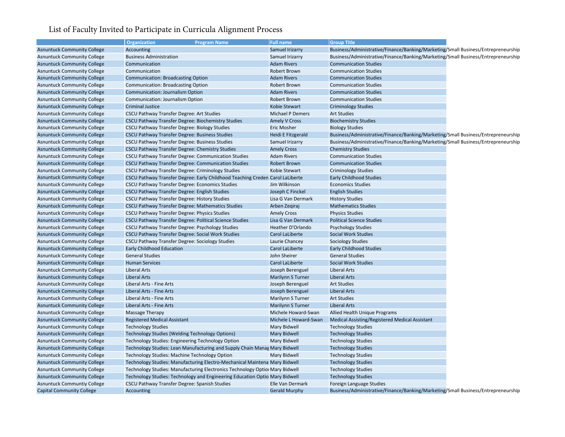## List of Faculty Invited to Participate in Curricula Alignment Process **Campus/**

|                                    | Organization<br><b>Program Name</b>                                           | <b>Full name</b>          | <b>Group Title</b>                                                                |
|------------------------------------|-------------------------------------------------------------------------------|---------------------------|-----------------------------------------------------------------------------------|
| <b>Asnuntuck Community College</b> | Accounting                                                                    | Samuel Irizarry           | Business/Administrative/Finance/Banking/Marketing/Small Business/Entrepreneurship |
| <b>Asnuntuck Community College</b> | <b>Business Administration</b>                                                | Samuel Irizarry           | Business/Administrative/Finance/Banking/Marketing/Small Business/Entrepreneurship |
| <b>Asnuntuck Community College</b> | Communication                                                                 | <b>Adam Rivers</b>        | <b>Communication Studies</b>                                                      |
| <b>Asnuntuck Community College</b> | Communication                                                                 | Robert Brown              | <b>Communication Studies</b>                                                      |
| <b>Asnuntuck Community College</b> | <b>Communication: Broadcasting Option</b>                                     | <b>Adam Rivers</b>        | <b>Communication Studies</b>                                                      |
| <b>Asnuntuck Community College</b> | <b>Communication: Broadcasting Option</b>                                     | Robert Brown              | <b>Communication Studies</b>                                                      |
| <b>Asnuntuck Community College</b> | Communication: Journalism Option                                              | <b>Adam Rivers</b>        | <b>Communication Studies</b>                                                      |
| <b>Asnuntuck Community College</b> | Communication: Journalism Option                                              | Robert Brown              | <b>Communication Studies</b>                                                      |
| <b>Asnuntuck Community College</b> | <b>Criminal Justice</b>                                                       | Kobie Stewart             | <b>Criminology Studies</b>                                                        |
| <b>Asnuntuck Community College</b> | <b>CSCU Pathway Transfer Degree: Art Studies</b>                              | Michael P Demers          | <b>Art Studies</b>                                                                |
| <b>Asnuntuck Community College</b> | <b>CSCU Pathway Transfer Degree: Biochemistry Studies</b>                     | <b>Amely V Cross</b>      | <b>Biochemistry Studies</b>                                                       |
| <b>Asnuntuck Community College</b> | CSCU Pathway Transfer Degree: Biology Studies                                 | <b>Eric Mosher</b>        | <b>Biology Studies</b>                                                            |
| <b>Asnuntuck Community College</b> | CSCU Pathway Transfer Degree: Business Studies                                | <b>Heidi E Fitzgerald</b> | Business/Administrative/Finance/Banking/Marketing/Small Business/Entrepreneurship |
| <b>Asnuntuck Community College</b> | CSCU Pathway Transfer Degree: Business Studies                                | Samuel Irizarry           | Business/Administrative/Finance/Banking/Marketing/Small Business/Entrepreneurship |
| <b>Asnuntuck Community College</b> | CSCU Pathway Transfer Degree: Chemistry Studies                               | <b>Amely Cross</b>        | <b>Chemistry Studies</b>                                                          |
| <b>Asnuntuck Community College</b> | CSCU Pathway Transfer Degree: Communication Studies                           | <b>Adam Rivers</b>        | <b>Communication Studies</b>                                                      |
| <b>Asnuntuck Community College</b> | <b>CSCU Pathway Transfer Degree: Communication Studies</b>                    | Robert Brown              | <b>Communication Studies</b>                                                      |
| <b>Asnuntuck Community College</b> | CSCU Pathway Transfer Degree: Criminology Studies                             | Kobie Stewart             | <b>Criminology Studies</b>                                                        |
| <b>Asnuntuck Community College</b> | CSCU Pathway Transfer Degree: Early Childhood Teaching Creden Carol LaLiberte |                           | <b>Early Childhood Studies</b>                                                    |
| <b>Asnuntuck Community College</b> | CSCU Pathway Transfer Degree: Economics Studies                               | Jim Wilkinson             | <b>Economics Studies</b>                                                          |
| <b>Asnuntuck Community College</b> | CSCU Pathway Transfer Degree: English Studies                                 | Joseph C Finckel          | <b>English Studies</b>                                                            |
| <b>Asnuntuck Community College</b> | CSCU Pathway Transfer Degree: History Studies                                 | Lisa G Van Dermark        | <b>History Studies</b>                                                            |
| <b>Asnuntuck Community College</b> | <b>CSCU Pathway Transfer Degree: Mathematics Studies</b>                      | Arben Zegiraj             | <b>Mathematics Studies</b>                                                        |
| <b>Asnuntuck Community College</b> | CSCU Pathway Transfer Degree: Physics Studies                                 | <b>Amely Cross</b>        | <b>Physics Studies</b>                                                            |
| <b>Asnuntuck Community College</b> | CSCU Pathway Transfer Degree: Political Science Studies                       | Lisa G Van Dermark        | <b>Political Science Studies</b>                                                  |
| <b>Asnuntuck Community College</b> | CSCU Pathway Transfer Degree: Psychology Studies                              | Heather D'Orlando         | <b>Psychology Studies</b>                                                         |
| <b>Asnuntuck Community College</b> | CSCU Pathway Transfer Degree: Social Work Studies                             | Carol LaLiberte           | <b>Social Work Studies</b>                                                        |
| <b>Asnuntuck Community College</b> | CSCU Pathway Transfer Degree: Sociology Studies                               | Laurie Chancey            | <b>Sociology Studies</b>                                                          |
| <b>Asnuntuck Community College</b> | <b>Early Childhood Education</b>                                              | Carol LaLiberte           | <b>Early Childhood Studies</b>                                                    |
| <b>Asnuntuck Community College</b> | <b>General Studies</b>                                                        | John Sheirer              | <b>General Studies</b>                                                            |
| <b>Asnuntuck Community College</b> | <b>Human Services</b>                                                         | Carol LaLiberte           | <b>Social Work Studies</b>                                                        |
| <b>Asnuntuck Community College</b> | <b>Liberal Arts</b>                                                           | Joseph Berenguel          | <b>Liberal Arts</b>                                                               |
| <b>Asnuntuck Community College</b> | <b>Liberal Arts</b>                                                           | <b>Marilynn S Turner</b>  | <b>Liberal Arts</b>                                                               |
| <b>Asnuntuck Community College</b> | Liberal Arts - Fine Arts                                                      | Joseph Berenguel          | <b>Art Studies</b>                                                                |
| <b>Asnuntuck Community College</b> | Liberal Arts - Fine Arts                                                      | Joseph Berenguel          | <b>Liberal Arts</b>                                                               |
| <b>Asnuntuck Community College</b> | Liberal Arts - Fine Arts                                                      | Marilynn S Turner         | <b>Art Studies</b>                                                                |
| <b>Asnuntuck Community College</b> | Liberal Arts - Fine Arts                                                      | Marilynn S Turner         | <b>Liberal Arts</b>                                                               |
|                                    |                                                                               | Michele Howard-Swan       |                                                                                   |
| <b>Asnuntuck Community College</b> | Massage Therapy<br><b>Registered Medical Assistant</b>                        |                           | Allied Health Unique Programs                                                     |
| <b>Asnuntuck Community College</b> |                                                                               | Michele L Howard-Swan     | Medical Assisting/Registered Medical Assistant                                    |
| <b>Asnuntuck Community College</b> | <b>Technology Studies</b>                                                     | Mary Bidwell              | <b>Technology Studies</b>                                                         |
| <b>Asnuntuck Community College</b> | Technology Studies (Welding Technology Options)                               | Mary Bidwell              | <b>Technology Studies</b>                                                         |
| <b>Asnuntuck Community College</b> | Technology Studies: Engineering Technology Option                             | Mary Bidwell              | <b>Technology Studies</b>                                                         |
| <b>Asnuntuck Community College</b> | Technology Studies: Lean Manufacturing and Supply Chain Manag Mary Bidwell    |                           | <b>Technology Studies</b>                                                         |
| <b>Asnuntuck Community College</b> | Technology Studies: Machine Technology Option                                 | Mary Bidwell              | <b>Technology Studies</b>                                                         |
| <b>Asnuntuck Community College</b> | Technology Studies: Manufacturing Electro-Mechanical Maintena Mary Bidwell    |                           | <b>Technology Studies</b>                                                         |
| <b>Asnuntuck Community College</b> | Technology Studies: Manufacturing Electronics Technology Option Mary Bidwell  |                           | <b>Technology Studies</b>                                                         |
| <b>Asnuntuck Community College</b> | Technology Studies: Technology and Engineering Education Optio Mary Bidwell   |                           | <b>Technology Studies</b>                                                         |
| <b>Asnuntuck Communtiy College</b> | CSCU Pathway Transfer Degree: Spanish Studies                                 | Elle Van Dermark          | Foreign Language Studies                                                          |
| <b>Capital Community College</b>   | Accounting                                                                    | <b>Gerald Murphy</b>      | Business/Administrative/Finance/Banking/Marketing/Small Business/Entrepreneurship |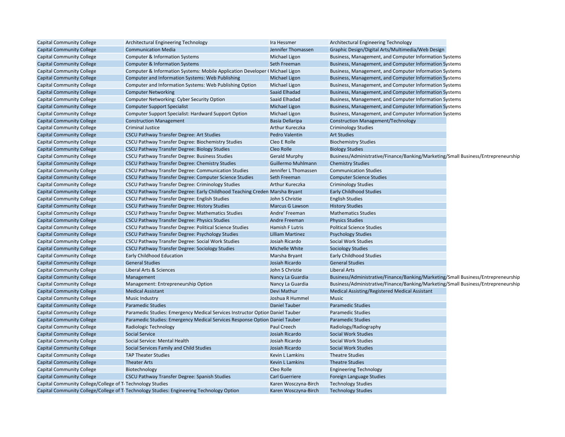| <b>Capital Community College</b>                           | Architectural Engineering Technology                                                                  | Ira Hessmer             | Architectural Engineering Technology                                              |  |
|------------------------------------------------------------|-------------------------------------------------------------------------------------------------------|-------------------------|-----------------------------------------------------------------------------------|--|
| <b>Capital Community College</b>                           | <b>Communication Media</b>                                                                            | Jennifer Thomassen      | Graphic Design/Digital Arts/Multimedia/Web Design                                 |  |
| <b>Capital Community College</b>                           | <b>Computer &amp; Information Systems</b>                                                             | Michael Ligon           | Business, Management, and Computer Information Systems                            |  |
| <b>Capital Community College</b>                           | Computer & Information Systems                                                                        | Seth Freeman            | Business, Management, and Computer Information Systems                            |  |
| <b>Capital Community College</b>                           | Computer & Information Systems: Mobile Application Developer (Michael Ligon                           |                         | Business, Management, and Computer Information Systems                            |  |
| <b>Capital Community College</b>                           | Computer and Information Systems: Web Publishing                                                      | <b>Michael Ligon</b>    | Business, Management, and Computer Information Systems                            |  |
| <b>Capital Community College</b>                           | Computer and Information Systems: Web Publishing Option                                               | Michael Ligon           | Business, Management, and Computer Information Systems                            |  |
| <b>Capital Community College</b>                           | <b>Computer Networking</b>                                                                            | Saaid Elhadad           | Business, Management, and Computer Information Systems                            |  |
| <b>Capital Community College</b>                           | Computer Networking: Cyber Security Option                                                            | Saaid Elhadad           | Business, Management, and Computer Information Systems                            |  |
| <b>Capital Community College</b>                           | <b>Computer Support Specialist</b>                                                                    | <b>Michael Ligon</b>    | Business, Management, and Computer Information Systems                            |  |
| <b>Capital Community College</b>                           | Computer Support Specialist: Hardward Support Option                                                  | Michael Ligon           | Business, Management, and Computer Information Systems                            |  |
| <b>Capital Community College</b>                           | <b>Construction Management</b>                                                                        | Basia Dellaripa         | <b>Construction Management/Technology</b>                                         |  |
| <b>Capital Community College</b>                           | <b>Criminal Justice</b>                                                                               | Arthur Kureczka         | <b>Criminology Studies</b>                                                        |  |
| <b>Capital Community College</b>                           | <b>CSCU Pathway Transfer Degree: Art Studies</b>                                                      | Pedro Valentin          | <b>Art Studies</b>                                                                |  |
| <b>Capital Community College</b>                           | CSCU Pathway Transfer Degree: Biochemistry Studies                                                    | Cleo E Rolle            | <b>Biochemistry Studies</b>                                                       |  |
| <b>Capital Community College</b>                           | <b>CSCU Pathway Transfer Degree: Biology Studies</b>                                                  | Cleo Rolle              | <b>Biology Studies</b>                                                            |  |
| <b>Capital Community College</b>                           | CSCU Pathway Transfer Degree: Business Studies                                                        | <b>Gerald Murphy</b>    | Business/Administrative/Finance/Banking/Marketing/Small Business/Entrepreneurship |  |
| <b>Capital Community College</b>                           | CSCU Pathway Transfer Degree: Chemistry Studies                                                       | Guillermo Muhlmann      | <b>Chemistry Studies</b>                                                          |  |
| <b>Capital Community College</b>                           | CSCU Pathway Transfer Degree: Communication Studies                                                   | Jennifer L Thomassen    | <b>Communication Studies</b>                                                      |  |
| <b>Capital Community College</b>                           | CSCU Pathway Transfer Degree: Computer Science Studies                                                | Seth Freeman            | <b>Computer Science Studies</b>                                                   |  |
| <b>Capital Community College</b>                           | CSCU Pathway Transfer Degree: Criminology Studies                                                     | Arthur Kureczka         | <b>Criminology Studies</b>                                                        |  |
| <b>Capital Community College</b>                           | CSCU Pathway Transfer Degree: Early Childhood Teaching Creden Marsha Bryant                           |                         | <b>Early Childhood Studies</b>                                                    |  |
| <b>Capital Community College</b>                           | CSCU Pathway Transfer Degree: English Studies                                                         | John S Christie         | <b>English Studies</b>                                                            |  |
| <b>Capital Community College</b>                           | <b>CSCU Pathway Transfer Degree: History Studies</b>                                                  | Marcus G Lawson         | <b>History Studies</b>                                                            |  |
| <b>Capital Community College</b>                           | CSCU Pathway Transfer Degree: Mathematics Studies                                                     | Andre' Freeman          | <b>Mathematics Studies</b>                                                        |  |
| <b>Capital Community College</b>                           | <b>CSCU Pathway Transfer Degree: Physics Studies</b>                                                  | Andre Freeman           | <b>Physics Studies</b>                                                            |  |
| <b>Capital Community College</b>                           | CSCU Pathway Transfer Degree: Political Science Studies                                               | Hamish F Lutris         | <b>Political Science Studies</b>                                                  |  |
| <b>Capital Community College</b>                           | CSCU Pathway Transfer Degree: Psychology Studies                                                      | <b>Lilliam Martinez</b> | <b>Psychology Studies</b>                                                         |  |
| <b>Capital Community College</b>                           | CSCU Pathway Transfer Degree: Social Work Studies                                                     | Josiah Ricardo          | Social Work Studies                                                               |  |
| <b>Capital Community College</b>                           | <b>CSCU Pathway Transfer Degree: Sociology Studies</b>                                                | Michelle White          | <b>Sociology Studies</b>                                                          |  |
| <b>Capital Community College</b>                           | <b>Early Childhood Education</b>                                                                      | Marsha Bryant           | <b>Early Childhood Studies</b>                                                    |  |
| <b>Capital Community College</b>                           | <b>General Studies</b>                                                                                | Josiah Ricardo          | <b>General Studies</b>                                                            |  |
| <b>Capital Community College</b>                           | Liberal Arts & Sciences                                                                               | John S Christie         | <b>Liberal Arts</b>                                                               |  |
| <b>Capital Community College</b>                           | Management                                                                                            | Nancy La Guardia        | Business/Administrative/Finance/Banking/Marketing/Small Business/Entrepreneurship |  |
| <b>Capital Community College</b>                           | Management: Entrepreneurship Option                                                                   | Nancy La Guardia        | Business/Administrative/Finance/Banking/Marketing/Small Business/Entrepreneurship |  |
| <b>Capital Community College</b>                           | <b>Medical Assistant</b>                                                                              | Devi Mathur             | Medical Assisting/Registered Medical Assistant                                    |  |
| <b>Capital Community College</b>                           | <b>Music Industry</b>                                                                                 | Joshua R Hummel         | <b>Music</b>                                                                      |  |
| <b>Capital Community College</b>                           | <b>Paramedic Studies</b>                                                                              | <b>Daniel Tauber</b>    | <b>Paramedic Studies</b>                                                          |  |
| <b>Capital Community College</b>                           | Paramedic Studies: Emergency Medical Services Instructor Option Daniel Tauber                         |                         | <b>Paramedic Studies</b>                                                          |  |
| <b>Capital Community College</b>                           | Paramedic Studies: Emergency Medical Services Response Option Daniel Tauber                           |                         | Paramedic Studies                                                                 |  |
| <b>Capital Community College</b>                           | Radiologic Technology                                                                                 | Paul Creech             | Radiology/Radiography                                                             |  |
| <b>Capital Community College</b>                           | <b>Social Service</b>                                                                                 | Josiah Ricardo          | <b>Social Work Studies</b>                                                        |  |
| <b>Capital Community College</b>                           | Social Service: Mental Health                                                                         | Josiah Ricardo          | Social Work Studies                                                               |  |
| <b>Capital Community College</b>                           | Social Services Family and Child Studies                                                              | Josiah Ricardo          | <b>Social Work Studies</b>                                                        |  |
| <b>Capital Community College</b>                           | <b>TAP Theater Studies</b>                                                                            | Kevin L Lamkins         | <b>Theatre Studies</b>                                                            |  |
| <b>Capital Community College</b>                           | <b>Theater Arts</b>                                                                                   | <b>Kevin L Lamkins</b>  | <b>Theatre Studies</b>                                                            |  |
| <b>Capital Community College</b>                           | Biotechnology                                                                                         | Cleo Rolle              | <b>Engineering Technology</b>                                                     |  |
| <b>Capital Community College</b>                           | <b>CSCU Pathway Transfer Degree: Spanish Studies</b>                                                  | <b>Carl Guerriere</b>   | Foreign Language Studies                                                          |  |
| Capital Community College/College of Ti Technology Studies |                                                                                                       | Karen Wosczyna-Birch    | <b>Technology Studies</b>                                                         |  |
|                                                            | Capital Community College/College of T <sub>1</sub> Technology Studies: Engineering Technology Option | Karen Wosczyna-Birch    | <b>Technology Studies</b>                                                         |  |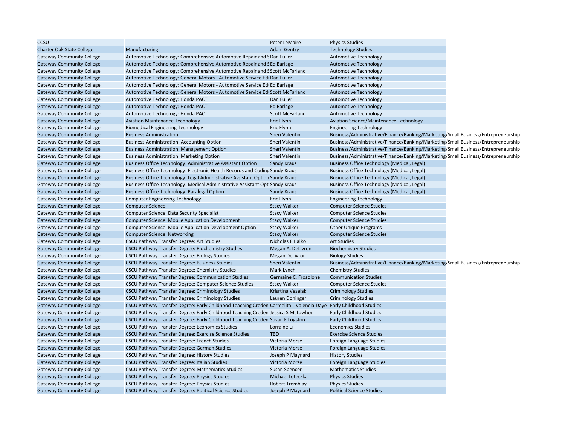| CCSU                             |                                                                                                                 | Peter LeMaire          | <b>Physics Studies</b>                                                            |  |
|----------------------------------|-----------------------------------------------------------------------------------------------------------------|------------------------|-----------------------------------------------------------------------------------|--|
| <b>Charter Oak State College</b> | Manufacturing                                                                                                   | <b>Adam Gentry</b>     | <b>Technology Studies</b>                                                         |  |
| <b>Gateway Community College</b> | Automotive Technology: Comprehensive Automotive Repair and S Dan Fuller                                         |                        | <b>Automotive Technology</b>                                                      |  |
| <b>Gateway Community College</b> | Automotive Technology: Comprehensive Automotive Repair and SEd Barlage                                          |                        | <b>Automotive Technology</b>                                                      |  |
| <b>Gateway Community College</b> | Automotive Technology: Comprehensive Automotive Repair and S Scott McFarland                                    |                        | <b>Automotive Technology</b>                                                      |  |
| <b>Gateway Community College</b> | Automotive Technology: General Motors - Automotive Service Edi Dan Fuller                                       |                        | <b>Automotive Technology</b>                                                      |  |
| <b>Gateway Community College</b> | Automotive Technology: General Motors - Automotive Service Edi Ed Barlage                                       |                        | <b>Automotive Technology</b>                                                      |  |
| <b>Gateway Community College</b> | Automotive Technology: General Motors - Automotive Service Edi Scott McFarland                                  |                        | <b>Automotive Technology</b>                                                      |  |
| <b>Gateway Community College</b> | Automotive Technology: Honda PACT                                                                               | Dan Fuller             | <b>Automotive Technology</b>                                                      |  |
| <b>Gateway Community College</b> | Automotive Technology: Honda PACT                                                                               | Ed Barlage             | <b>Automotive Technology</b>                                                      |  |
| <b>Gateway Community College</b> | Automotive Technology: Honda PACT                                                                               | <b>Scott McFarland</b> | <b>Automotive Technology</b>                                                      |  |
| <b>Gateway Community College</b> | <b>Aviation Maintenance Technology</b>                                                                          | Eric Flynn             | <b>Aviation Science/Maintenance Technology</b>                                    |  |
| <b>Gateway Community College</b> | <b>Biomedical Engineering Technology</b>                                                                        | <b>Eric Flynn</b>      | <b>Engineering Technology</b>                                                     |  |
| <b>Gateway Community College</b> | <b>Business Administration</b>                                                                                  | <b>Sheri Valentin</b>  | Business/Administrative/Finance/Banking/Marketing/Small Business/Entrepreneurship |  |
| <b>Gateway Community College</b> | <b>Business Administration: Accounting Option</b>                                                               | Sheri Valentin         | Business/Administrative/Finance/Banking/Marketing/Small Business/Entrepreneurship |  |
| <b>Gateway Community College</b> | <b>Business Administration: Management Option</b>                                                               | Sheri Valentin         | Business/Administrative/Finance/Banking/Marketing/Small Business/Entrepreneurship |  |
| <b>Gateway Community College</b> | <b>Business Administration: Marketing Option</b>                                                                | Sheri Valentin         | Business/Administrative/Finance/Banking/Marketing/Small Business/Entrepreneurship |  |
| <b>Gateway Community College</b> | <b>Business Office Technology: Administrative Assistant Option</b>                                              | Sandy Kraus            | <b>Business Office Technology (Medical, Legal)</b>                                |  |
| <b>Gateway Community College</b> | Business Office Technology: Electronic Health Records and Coding Sandy Kraus                                    |                        | Business Office Technology (Medical, Legal)                                       |  |
| <b>Gateway Community College</b> | Business Office Technology: Legal Administrative Assistant Option Sandy Kraus                                   |                        | <b>Business Office Technology (Medical, Legal)</b>                                |  |
| <b>Gateway Community College</b> | Business Office Technology: Medical Administrative Assistant Opt Sandy Kraus                                    |                        | Business Office Technology (Medical, Legal)                                       |  |
| <b>Gateway Community College</b> | <b>Business Office Technology: Paralegal Option</b>                                                             | <b>Sandy Kraus</b>     | Business Office Technology (Medical, Legal)                                       |  |
| <b>Gateway Community College</b> |                                                                                                                 | <b>Eric Flynn</b>      |                                                                                   |  |
|                                  | <b>Computer Engineering Technology</b>                                                                          |                        | <b>Engineering Technology</b>                                                     |  |
| <b>Gateway Community College</b> | <b>Computer Science</b>                                                                                         | <b>Stacy Walker</b>    | <b>Computer Science Studies</b>                                                   |  |
| <b>Gateway Community College</b> | <b>Computer Science: Data Security Specialist</b>                                                               | <b>Stacy Walker</b>    | <b>Computer Science Studies</b>                                                   |  |
| <b>Gateway Community College</b> | <b>Computer Science: Mobile Application Development</b>                                                         | <b>Stacy Walker</b>    | <b>Computer Science Studies</b>                                                   |  |
| <b>Gateway Community College</b> | Computer Science: Mobile Application Development Option                                                         | <b>Stacy Walker</b>    | <b>Other Unique Programs</b>                                                      |  |
| <b>Gateway Community College</b> | <b>Computer Science: Networking</b>                                                                             | <b>Stacy Walker</b>    | <b>Computer Science Studies</b>                                                   |  |
| <b>Gateway Community College</b> | CSCU Pathway Transfer Degree: Art Studies                                                                       | Nicholas F Halko       | <b>Art Studies</b>                                                                |  |
| <b>Gateway Community College</b> | CSCU Pathway Transfer Degree: Biochemistry Studies                                                              | Megan A. DeLivron      | <b>Biochemistry Studies</b>                                                       |  |
| <b>Gateway Community College</b> | CSCU Pathway Transfer Degree: Biology Studies                                                                   | <b>Megan DeLivron</b>  | <b>Biology Studies</b>                                                            |  |
| <b>Gateway Community College</b> | CSCU Pathway Transfer Degree: Business Studies                                                                  | <b>Sheri Valentin</b>  | Business/Administrative/Finance/Banking/Marketing/Small Business/Entrepreneurship |  |
| <b>Gateway Community College</b> | CSCU Pathway Transfer Degree: Chemistry Studies                                                                 | Mark Lynch             | <b>Chemistry Studies</b>                                                          |  |
| <b>Gateway Community College</b> | CSCU Pathway Transfer Degree: Communication Studies                                                             | Germaine C. Frosolone  | <b>Communication Studies</b>                                                      |  |
| <b>Gateway Community College</b> | CSCU Pathway Transfer Degree: Computer Science Studies                                                          | <b>Stacy Walker</b>    | <b>Computer Science Studies</b>                                                   |  |
| <b>Gateway Community College</b> | CSCU Pathway Transfer Degree: Criminology Studies                                                               | Krisrtina Veselak      | <b>Criminology Studies</b>                                                        |  |
| <b>Gateway Community College</b> | CSCU Pathway Transfer Degree: Criminology Studies                                                               | Lauren Doninger        | <b>Criminology Studies</b>                                                        |  |
| <b>Gateway Community College</b> | CSCU Pathway Transfer Degree: Early Childhood Teaching Creden Carmelita L Valencia-Daye Early Childhood Studies |                        |                                                                                   |  |
| <b>Gateway Community College</b> | CSCU Pathway Transfer Degree: Early Childhood Teaching Creden Jessica S McLawhon                                |                        | <b>Early Childhood Studies</b>                                                    |  |
| <b>Gateway Community College</b> | CSCU Pathway Transfer Degree: Early Childhood Teaching Creden Susan E Logston                                   |                        | <b>Early Childhood Studies</b>                                                    |  |
| <b>Gateway Community College</b> | CSCU Pathway Transfer Degree: Economics Studies                                                                 | Lorraine Li            | <b>Economics Studies</b>                                                          |  |
| <b>Gateway Community College</b> | CSCU Pathway Transfer Degree: Exercise Science Studies                                                          | <b>TBD</b>             | <b>Exercise Science Studies</b>                                                   |  |
| <b>Gateway Community College</b> | CSCU Pathway Transfer Degree: French Studies                                                                    | Victoria Morse         | Foreign Language Studies                                                          |  |
| <b>Gateway Community College</b> | <b>CSCU Pathway Transfer Degree: German Studies</b>                                                             | Victoria Morse         | Foreign Language Studies                                                          |  |
| <b>Gateway Community College</b> | CSCU Pathway Transfer Degree: History Studies                                                                   | Joseph P Maynard       | <b>History Studies</b>                                                            |  |
| <b>Gateway Community College</b> | CSCU Pathway Transfer Degree: Italian Studies                                                                   | Victoria Morse         | Foreign Language Studies                                                          |  |
| <b>Gateway Community College</b> | CSCU Pathway Transfer Degree: Mathematics Studies                                                               | <b>Susan Spencer</b>   | <b>Mathematics Studies</b>                                                        |  |
| <b>Gateway Community College</b> | CSCU Pathway Transfer Degree: Physics Studies                                                                   | Michael Loteczka       | <b>Physics Studies</b>                                                            |  |
| <b>Gateway Community College</b> | CSCU Pathway Transfer Degree: Physics Studies                                                                   | <b>Robert Tremblay</b> | <b>Physics Studies</b>                                                            |  |
| <b>Gateway Community College</b> | CSCU Pathway Transfer Degree: Political Science Studies                                                         | Joseph P Maynard       | <b>Political Science Studies</b>                                                  |  |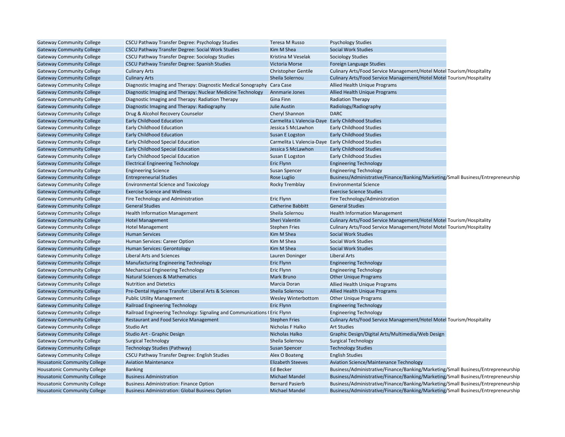| <b>Gateway Community College</b>    | CSCU Pathway Transfer Degree: Psychology Studies                          | Teresa M Russo                                    | <b>Psychology Studies</b>                                                                                     |  |
|-------------------------------------|---------------------------------------------------------------------------|---------------------------------------------------|---------------------------------------------------------------------------------------------------------------|--|
| <b>Gateway Community College</b>    | CSCU Pathway Transfer Degree: Social Work Studies                         | Kim M Shea                                        | <b>Social Work Studies</b>                                                                                    |  |
| <b>Gateway Community College</b>    | CSCU Pathway Transfer Degree: Sociology Studies                           | Kristina M Veselak                                | <b>Sociology Studies</b>                                                                                      |  |
| <b>Gateway Community College</b>    | CSCU Pathway Transfer Degree: Spanish Studies                             | <b>Victoria Morse</b>                             | Foreign Language Studies                                                                                      |  |
| <b>Gateway Community College</b>    | <b>Culinary Arts</b>                                                      | <b>Christopher Gentile</b>                        | Culinary Arts/Food Service Management/Hotel Motel Tourism/Hospitality                                         |  |
| <b>Gateway Community College</b>    | <b>Culinary Arts</b>                                                      | Sheila Solernou                                   | Culinary Arts/Food Service Management/Hotel Motel Tourism/Hospitality                                         |  |
| <b>Gateway Community College</b>    | Diagnostic Imaging and Therapy: Diagnostic Medical Sonography Cara Case   |                                                   | Allied Health Unique Programs                                                                                 |  |
| <b>Gateway Community College</b>    | Diagnostic Imaging and Therapy: Nuclear Medicine Technology               | Annmarie Jones                                    | Allied Health Unique Programs                                                                                 |  |
| <b>Gateway Community College</b>    | Diagnostic Imaging and Therapy: Radiation Therapy                         | Gina Finn                                         | <b>Radiation Therapy</b>                                                                                      |  |
| <b>Gateway Community College</b>    | Diagnostic Imaging and Therapy: Radiography                               | <b>Julie Austin</b>                               | Radiology/Radiography                                                                                         |  |
| <b>Gateway Community College</b>    | Drug & Alcohol Recovery Counselor                                         | Cheryl Shannon                                    | <b>DARC</b>                                                                                                   |  |
| <b>Gateway Community College</b>    | <b>Early Childhood Education</b>                                          | Carmelita L Valencia-Daye Early Childhood Studies |                                                                                                               |  |
| <b>Gateway Community College</b>    | Early Childhood Education                                                 | Jessica S McLawhon                                | <b>Early Childhood Studies</b>                                                                                |  |
| <b>Gateway Community College</b>    | <b>Early Childhood Education</b>                                          | Susan E Logston                                   | <b>Early Childhood Studies</b>                                                                                |  |
| <b>Gateway Community College</b>    | Early Childhood Special Education                                         | Carmelita L Valencia-Daye Early Childhood Studies |                                                                                                               |  |
| <b>Gateway Community College</b>    | <b>Early Childhood Special Education</b>                                  | Jessica S McLawhon                                | <b>Early Childhood Studies</b>                                                                                |  |
| <b>Gateway Community College</b>    | Early Childhood Special Education                                         | Susan E Logston                                   | <b>Early Childhood Studies</b>                                                                                |  |
| <b>Gateway Community College</b>    | <b>Electrical Engineering Technology</b>                                  | Eric Flynn                                        | <b>Engineering Technology</b>                                                                                 |  |
| <b>Gateway Community College</b>    | <b>Engineering Science</b>                                                | <b>Susan Spencer</b>                              | <b>Engineering Technology</b>                                                                                 |  |
| <b>Gateway Community College</b>    | <b>Entrepreneurial Studies</b>                                            | Rose Luglio                                       | Business/Administrative/Finance/Banking/Marketing/Small Business/Entrepreneurship                             |  |
| <b>Gateway Community College</b>    | <b>Environmental Science and Toxicology</b>                               | Rocky Tremblay                                    | <b>Environmental Science</b>                                                                                  |  |
| <b>Gateway Community College</b>    | <b>Exercise Science and Wellness</b>                                      |                                                   | <b>Exercise Science Studies</b>                                                                               |  |
| <b>Gateway Community College</b>    | Fire Technology and Administration                                        | Eric Flynn                                        | Fire Technology/Administration                                                                                |  |
| <b>Gateway Community College</b>    | <b>General Studies</b>                                                    | <b>Catherine Babbitt</b>                          | <b>General Studies</b>                                                                                        |  |
| <b>Gateway Community College</b>    |                                                                           | Sheila Solernou                                   |                                                                                                               |  |
|                                     | <b>Health Information Management</b>                                      | Sheri Valentin                                    | <b>Health Information Management</b><br>Culinary Arts/Food Service Management/Hotel Motel Tourism/Hospitality |  |
| <b>Gateway Community College</b>    | <b>Hotel Management</b>                                                   |                                                   |                                                                                                               |  |
| <b>Gateway Community College</b>    | <b>Hotel Management</b>                                                   | <b>Stephen Fries</b>                              | Culinary Arts/Food Service Management/Hotel Motel Tourism/Hospitality                                         |  |
| <b>Gateway Community College</b>    | <b>Human Services</b>                                                     | Kim M Shea                                        | <b>Social Work Studies</b>                                                                                    |  |
| <b>Gateway Community College</b>    | Human Services: Career Option                                             | Kim M Shea                                        | <b>Social Work Studies</b>                                                                                    |  |
| <b>Gateway Community College</b>    | <b>Human Services: Gerontology</b>                                        | Kim M Shea                                        | <b>Social Work Studies</b>                                                                                    |  |
| <b>Gateway Community College</b>    | <b>Liberal Arts and Sciences</b>                                          | Lauren Doninger                                   | <b>Liberal Arts</b>                                                                                           |  |
| <b>Gateway Community College</b>    | <b>Manufacturing Engineering Technology</b>                               | Eric Flynn                                        | <b>Engineering Technology</b>                                                                                 |  |
| <b>Gateway Community College</b>    | Mechanical Engineering Technology                                         | <b>Eric Flynn</b>                                 | <b>Engineering Technology</b>                                                                                 |  |
| <b>Gateway Community College</b>    | <b>Natural Sciences &amp; Mathematics</b>                                 | Mark Bruno                                        | <b>Other Unique Programs</b>                                                                                  |  |
| <b>Gateway Community College</b>    | <b>Nutrition and Dietetics</b>                                            | Marcia Doran                                      | Allied Health Unique Programs                                                                                 |  |
| <b>Gateway Community College</b>    | Pre-Dental Hygiene Transfer: Liberal Arts & Sciences                      | Sheila Solernou                                   | <b>Allied Health Unique Programs</b>                                                                          |  |
| <b>Gateway Community College</b>    | <b>Public Utility Management</b>                                          | Wesley Winterbottom                               | <b>Other Unique Programs</b>                                                                                  |  |
| <b>Gateway Community College</b>    | <b>Railroad Engineering Technology</b>                                    | <b>Eric Flynn</b>                                 | <b>Engineering Technology</b>                                                                                 |  |
| <b>Gateway Community College</b>    | Railroad Engineering Technology: Signaling and Communications (Eric Flynn |                                                   | <b>Engineering Technology</b>                                                                                 |  |
| <b>Gateway Community College</b>    | <b>Restaurant and Food Service Management</b>                             | <b>Stephen Fries</b>                              | Culinary Arts/Food Service Management/Hotel Motel Tourism/Hospitality                                         |  |
| <b>Gateway Community College</b>    | Studio Art                                                                | Nicholas F Halko                                  | <b>Art Studies</b>                                                                                            |  |
| <b>Gateway Community College</b>    | Studio Art - Graphic Design                                               | Nicholas Halko                                    | Graphic Design/Digital Arts/Multimedia/Web Design                                                             |  |
| <b>Gateway Community College</b>    | <b>Surgical Technology</b>                                                | Sheila Solernou                                   | <b>Surgical Technology</b>                                                                                    |  |
| <b>Gateway Community College</b>    | Technology Studies (Pathway)                                              | <b>Susan Spencer</b>                              | <b>Technology Studies</b>                                                                                     |  |
| <b>Gateway Community College</b>    | CSCU Pathway Transfer Degree: English Studies                             | Alex O Boateng                                    | <b>English Studies</b>                                                                                        |  |
| <b>Housatonic Community College</b> | <b>Aviation Maintenance</b>                                               | <b>Elizabeth Steeves</b>                          | <b>Aviation Science/Maintenance Technology</b>                                                                |  |
| Housatonic Community College        | <b>Banking</b>                                                            | <b>Ed Becker</b>                                  | Business/Administrative/Finance/Banking/Marketing/Small Business/Entrepreneurship                             |  |
| <b>Housatonic Community College</b> | <b>Business Administration</b>                                            | <b>Michael Mandel</b>                             | Business/Administrative/Finance/Banking/Marketing/Small Business/Entrepreneurship                             |  |
| <b>Housatonic Community College</b> | <b>Business Administration: Finance Option</b>                            | <b>Bernard Pasierb</b>                            | Business/Administrative/Finance/Banking/Marketing/Small Business/Entrepreneurship                             |  |
| <b>Housatonic Community College</b> | <b>Business Administration: Global Business Option</b>                    | <b>Michael Mandel</b>                             | Business/Administrative/Finance/Banking/Marketing/Small Business/Entrepreneurship                             |  |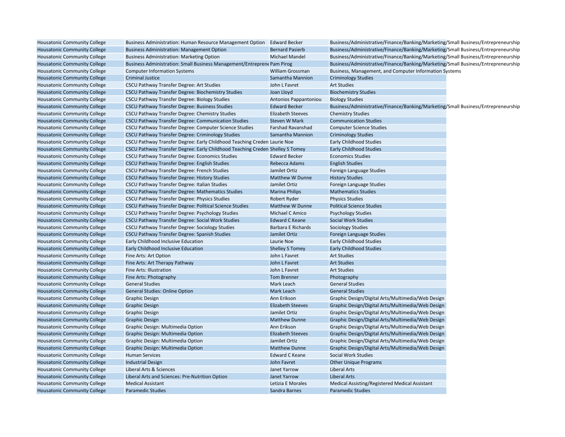| Housatonic Community College        | Business Administration: Human Resource Management Option Edward Becker       |                           | Business/Administrative/Finance/Banking/Marketing/Small Business/Entrepreneurship |  |
|-------------------------------------|-------------------------------------------------------------------------------|---------------------------|-----------------------------------------------------------------------------------|--|
| <b>Housatonic Community College</b> | <b>Business Administration: Management Option</b>                             | <b>Bernard Pasierb</b>    | Business/Administrative/Finance/Banking/Marketing/Small Business/Entrepreneurship |  |
| <b>Housatonic Community College</b> | <b>Business Administration: Marketing Option</b>                              | Michael Mandel            | Business/Administrative/Finance/Banking/Marketing/Small Business/Entrepreneurship |  |
| <b>Housatonic Community College</b> | Business Administration: Small Business Management/Entreprene Pam Pirog       |                           | Business/Administrative/Finance/Banking/Marketing/Small Business/Entrepreneurship |  |
| <b>Housatonic Community College</b> | <b>Computer Information Systems</b>                                           | William Grossman          | Business, Management, and Computer Information Systems                            |  |
| <b>Housatonic Community College</b> | <b>Criminal Justice</b>                                                       | Samantha Mannion          | <b>Criminology Studies</b>                                                        |  |
| <b>Housatonic Community College</b> | <b>CSCU Pathway Transfer Degree: Art Studies</b>                              | John L Favret             | <b>Art Studies</b>                                                                |  |
| <b>Housatonic Community College</b> | CSCU Pathway Transfer Degree: Biochemistry Studies                            | Joan Lloyd                | <b>Biochemistry Studies</b>                                                       |  |
| <b>Housatonic Community College</b> | CSCU Pathway Transfer Degree: Biology Studies                                 | Antonios Pappantoniou     | <b>Biology Studies</b>                                                            |  |
| <b>Housatonic Community College</b> | <b>CSCU Pathway Transfer Degree: Business Studies</b>                         | <b>Edward Becker</b>      | Business/Administrative/Finance/Banking/Marketing/Small Business/Entrepreneurship |  |
| <b>Housatonic Community College</b> | CSCU Pathway Transfer Degree: Chemistry Studies                               | <b>Elizabeth Steeves</b>  | <b>Chemistry Studies</b>                                                          |  |
| <b>Housatonic Community College</b> | <b>CSCU Pathway Transfer Degree: Communication Studies</b>                    | Steven W Mark             | <b>Communication Studies</b>                                                      |  |
| <b>Housatonic Community College</b> | CSCU Pathway Transfer Degree: Computer Science Studies                        | <b>Farshad Ravanshad</b>  | <b>Computer Science Studies</b>                                                   |  |
| <b>Housatonic Community College</b> | <b>CSCU Pathway Transfer Degree: Criminology Studies</b>                      | Samantha Mannion          | <b>Criminology Studies</b>                                                        |  |
| <b>Housatonic Community College</b> | CSCU Pathway Transfer Degree: Early Childhood Teaching Creden Laurie Noe      |                           | <b>Early Childhood Studies</b>                                                    |  |
| <b>Housatonic Community College</b> | CSCU Pathway Transfer Degree: Early Childhood Teaching Creden Shelley S Tomey |                           | <b>Early Childhood Studies</b>                                                    |  |
| <b>Housatonic Community College</b> | <b>CSCU Pathway Transfer Degree: Economics Studies</b>                        | <b>Edward Becker</b>      | <b>Economics Studies</b>                                                          |  |
| <b>Housatonic Community College</b> | CSCU Pathway Transfer Degree: English Studies                                 | Rebecca Adams             | <b>English Studies</b>                                                            |  |
| Housatonic Community College        | CSCU Pathway Transfer Degree: French Studies                                  | Jamilet Ortiz             | Foreign Language Studies                                                          |  |
| <b>Housatonic Community College</b> | CSCU Pathway Transfer Degree: History Studies                                 | Matthew W Dunne           | <b>History Studies</b>                                                            |  |
| Housatonic Community College        | CSCU Pathway Transfer Degree: Italian Studies                                 | Jamilet Ortiz             | Foreign Language Studies                                                          |  |
| <b>Housatonic Community College</b> | CSCU Pathway Transfer Degree: Mathematics Studies                             | <b>Marina Philips</b>     | <b>Mathematics Studies</b>                                                        |  |
| <b>Housatonic Community College</b> | CSCU Pathway Transfer Degree: Physics Studies                                 | Robert Ryder              | <b>Physics Studies</b>                                                            |  |
| <b>Housatonic Community College</b> | CSCU Pathway Transfer Degree: Political Science Studies                       | Matthew W Dunne           | <b>Political Science Studies</b>                                                  |  |
| Housatonic Community College        | CSCU Pathway Transfer Degree: Psychology Studies                              | Michael C Amico           | <b>Psychology Studies</b>                                                         |  |
| <b>Housatonic Community College</b> | CSCU Pathway Transfer Degree: Social Work Studies                             | <b>Edward C Keane</b>     | <b>Social Work Studies</b>                                                        |  |
| Housatonic Community College        | CSCU Pathway Transfer Degree: Sociology Studies                               | <b>Barbara E Richards</b> | <b>Sociology Studies</b>                                                          |  |
| <b>Housatonic Community College</b> | <b>CSCU Pathway Transfer Degree: Spanish Studies</b>                          | Jamilet Ortiz             | Foreign Language Studies                                                          |  |
| Housatonic Community College        | Early Childhood Inclusive Education                                           | Laurie Noe                | <b>Early Childhood Studies</b>                                                    |  |
| <b>Housatonic Community College</b> | Early Childhood Inclusive Education                                           | <b>Shelley S Tomey</b>    | <b>Early Childhood Studies</b>                                                    |  |
| Housatonic Community College        | Fine Arts: Art Option                                                         | John L Favret             | <b>Art Studies</b>                                                                |  |
| <b>Housatonic Community College</b> | Fine Arts: Art Therapy Pathway                                                | John L Favret             | <b>Art Studies</b>                                                                |  |
| <b>Housatonic Community College</b> | Fine Arts: Illustration                                                       | John L Favret             | <b>Art Studies</b>                                                                |  |
| <b>Housatonic Community College</b> | Fine Arts: Photography                                                        | <b>Tom Brenner</b>        | Photography                                                                       |  |
| <b>Housatonic Community College</b> | <b>General Studies</b>                                                        | Mark Leach                | <b>General Studies</b>                                                            |  |
| <b>Housatonic Community College</b> | <b>General Studies: Online Option</b>                                         | Mark Leach                | <b>General Studies</b>                                                            |  |
| <b>Housatonic Community College</b> | <b>Graphic Design</b>                                                         | Ann Erikson               | Graphic Design/Digital Arts/Multimedia/Web Design                                 |  |
| <b>Housatonic Community College</b> | <b>Graphic Design</b>                                                         | <b>Elizabeth Steeves</b>  | Graphic Design/Digital Arts/Multimedia/Web Design                                 |  |
| <b>Housatonic Community College</b> | <b>Graphic Design</b>                                                         | Jamilet Ortiz             | Graphic Design/Digital Arts/Multimedia/Web Design                                 |  |
| <b>Housatonic Community College</b> | <b>Graphic Design</b>                                                         | <b>Matthew Dunne</b>      | Graphic Design/Digital Arts/Multimedia/Web Design                                 |  |
| <b>Housatonic Community College</b> | Graphic Design: Multimedia Option                                             | Ann Erikson               | Graphic Design/Digital Arts/Multimedia/Web Design                                 |  |
| <b>Housatonic Community College</b> | Graphic Design: Multimedia Option                                             | <b>Elizabeth Steeves</b>  | Graphic Design/Digital Arts/Multimedia/Web Design                                 |  |
| Housatonic Community College        | Graphic Design: Multimedia Option                                             | Jamilet Ortiz             | Graphic Design/Digital Arts/Multimedia/Web Design                                 |  |
| <b>Housatonic Community College</b> | Graphic Design: Multimedia Option                                             | <b>Matthew Dunne</b>      | Graphic Design/Digital Arts/Multimedia/Web Design                                 |  |
| Housatonic Community College        | <b>Human Services</b>                                                         | <b>Edward C Keane</b>     | Social Work Studies                                                               |  |
| <b>Housatonic Community College</b> | <b>Industrial Design</b>                                                      | John Favret               | <b>Other Unique Programs</b>                                                      |  |
| Housatonic Community College        | Liberal Arts & Sciences                                                       | Janet Yarrow              | Liberal Arts                                                                      |  |
| <b>Housatonic Community College</b> | Liberal Arts and Sciences: Pre-Nutrition Option                               | Janet Yarrow              | <b>Liberal Arts</b>                                                               |  |
| <b>Housatonic Community College</b> | <b>Medical Assistant</b>                                                      | Letizia E Morales         | Medical Assisting/Registered Medical Assistant                                    |  |
| <b>Housatonic Community College</b> | <b>Paramedic Studies</b>                                                      | Sandra Barnes             | <b>Paramedic Studies</b>                                                          |  |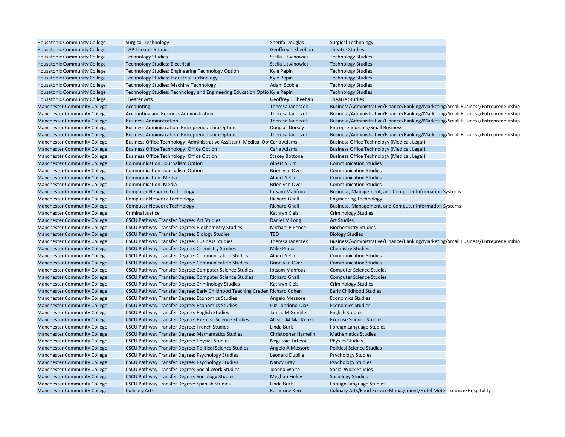| <b>Housatonic Community College</b> | <b>Surgical Technology</b>                                                    | Sherifa Douglas        | <b>Surgical Technology</b>                                                        |  |
|-------------------------------------|-------------------------------------------------------------------------------|------------------------|-----------------------------------------------------------------------------------|--|
| <b>Housatonic Community College</b> | <b>TAP Theater Studies</b>                                                    | Geoffrey T Sheehan     | <b>Theatre Studies</b>                                                            |  |
| <b>Housatonic Community College</b> | <b>Technology Studies</b>                                                     | Stella Litwinowicz     | <b>Technology Studies</b>                                                         |  |
| <b>Housatonic Community College</b> | <b>Technology Studies: Electrical</b>                                         | Stella Litwinowicz     | <b>Technology Studies</b>                                                         |  |
| <b>Housatonic Community College</b> | Technology Studies: Engineering Technology Option                             | Kyle Pepin             | <b>Technology Studies</b>                                                         |  |
| <b>Housatonic Community College</b> | <b>Technology Studies: Industrial Technology</b>                              | Kyle Pepin             | <b>Technology Studies</b>                                                         |  |
| <b>Housatonic Community College</b> | <b>Technology Studies: Machine Technology</b>                                 | Adam Scobie            | <b>Technology Studies</b>                                                         |  |
| <b>Housatonic Community College</b> | Technology Studies: Technology and Engineering Education Optio Kyle Pepin     |                        | <b>Technology Studies</b>                                                         |  |
| <b>Housatonic Community College</b> | <b>Theater Arts</b>                                                           | Geoffrey T Sheehan     | <b>Theatre Studies</b>                                                            |  |
| <b>Manchester Community College</b> | Accounting                                                                    | Theresa Janeczek       | Business/Administrative/Finance/Banking/Marketing/Small Business/Entrepreneurship |  |
| <b>Manchester Community College</b> | Accounting and Business Administration                                        | Theresa Janeczek       | Business/Administrative/Finance/Banking/Marketing/Small Business/Entrepreneurship |  |
| <b>Manchester Community College</b> | <b>Business Administration</b>                                                | Theresa Janeczek       | Business/Administrative/Finance/Banking/Marketing/Small Business/Entrepreneurship |  |
| <b>Manchester Community College</b> | <b>Business Administration: Entrepreneurship Option</b>                       | Douglas Dorsey         | Entrepreneurship/Small Business                                                   |  |
| <b>Manchester Community College</b> | <b>Business Administration: Entrepreneurship Option</b>                       | Theresa Janeczek       | Business/Administrative/Finance/Banking/Marketing/Small Business/Entrepreneurship |  |
| <b>Manchester Community College</b> | Business Office Technology: Administrative Assistant, Medical Opi Carla Adams |                        | <b>Business Office Technology (Medical, Legal)</b>                                |  |
| <b>Manchester Community College</b> | <b>Business Office Technology: Office Option</b>                              | Carla Adams            | Business Office Technology (Medical, Legal)                                       |  |
| <b>Manchester Community College</b> | <b>Business Office Technology: Office Option</b>                              | <b>Stacey Bottone</b>  | Business Office Technology (Medical, Legal)                                       |  |
| <b>Manchester Community College</b> | <b>Communication: Journalism Option</b>                                       | Albert S Kim           | <b>Communication Studies</b>                                                      |  |
| <b>Manchester Community College</b> | Communication: Journalism Option                                              | <b>Brion van Over</b>  | <b>Communication Studies</b>                                                      |  |
| <b>Manchester Community College</b> | <b>Communication: Media</b>                                                   | Albert S Kim           | <b>Communication Studies</b>                                                      |  |
| <b>Manchester Community College</b> | <b>Communication: Media</b>                                                   | <b>Brion van Over</b>  | <b>Communication Studies</b>                                                      |  |
| <b>Manchester Community College</b> | <b>Computer Network Technology</b>                                            | Ibtsam Mahfouz         | Business, Management, and Computer Information Systems                            |  |
| <b>Manchester Community College</b> | <b>Computer Network Technology</b>                                            | <b>Richard Gnall</b>   | <b>Engineering Technology</b>                                                     |  |
| <b>Manchester Community College</b> | <b>Computer Network Technology</b>                                            | <b>Richard Gnall</b>   | Business, Management, and Computer Information Systems                            |  |
| <b>Manchester Community College</b> | <b>Criminal Justice</b>                                                       | Kathryn Kleis          | <b>Criminology Studies</b>                                                        |  |
| <b>Manchester Community College</b> | <b>CSCU Pathway Transfer Degree: Art Studies</b>                              | Daniel M Long          | <b>Art Studies</b>                                                                |  |
| <b>Manchester Community College</b> | CSCU Pathway Transfer Degree: Biochemistry Studies                            | Michael P Pence        | <b>Biochemistry Studies</b>                                                       |  |
| <b>Manchester Community College</b> | <b>CSCU Pathway Transfer Degree: Biology Studies</b>                          | <b>TBD</b>             | <b>Biology Studies</b>                                                            |  |
| <b>Manchester Community College</b> | CSCU Pathway Transfer Degree: Business Studies                                | Theresa Janeczek       | Business/Administrative/Finance/Banking/Marketing/Small Business/Entrepreneurship |  |
| <b>Manchester Community College</b> | CSCU Pathway Transfer Degree: Chemistry Studies                               | <b>Mike Pence</b>      | <b>Chemistry Studies</b>                                                          |  |
| <b>Manchester Community College</b> | CSCU Pathway Transfer Degree: Communication Studies                           | Albert S Kim           | <b>Communication Studies</b>                                                      |  |
| <b>Manchester Community College</b> | CSCU Pathway Transfer Degree: Communication Studies                           | <b>Brion van Over</b>  | <b>Communication Studies</b>                                                      |  |
| <b>Manchester Community College</b> | CSCU Pathway Transfer Degree: Computer Science Studies                        | Ibtsam Mahfouz         | <b>Computer Science Studies</b>                                                   |  |
| <b>Manchester Community College</b> | CSCU Pathway Transfer Degree: Computer Science Studies                        | <b>Richard Gnall</b>   | <b>Computer Science Studies</b>                                                   |  |
| <b>Manchester Community College</b> | CSCU Pathway Transfer Degree: Criminology Studies                             | Kathryn Kleis          | <b>Criminology Studies</b>                                                        |  |
| <b>Manchester Community College</b> | CSCU Pathway Transfer Degree: Early Childhood Teaching Creden Richard Cohen   |                        | <b>Early Childhood Studies</b>                                                    |  |
| <b>Manchester Community College</b> | CSCU Pathway Transfer Degree: Economics Studies                               | Angelo Messore         | <b>Economics Studies</b>                                                          |  |
| <b>Manchester Community College</b> | <b>CSCU Pathway Transfer Degree: Economics Studies</b>                        | Luz Londono-Diaz       | <b>Economics Studies</b>                                                          |  |
| <b>Manchester Community College</b> | CSCU Pathway Transfer Degree: English Studies                                 | James M Gentile        | <b>English Studies</b>                                                            |  |
| <b>Manchester Community College</b> | CSCU Pathway Transfer Degree: Exercise Science Studies                        | Allison M MacKenzie    | <b>Exercise Science Studies</b>                                                   |  |
|                                     |                                                                               |                        |                                                                                   |  |
| <b>Manchester Community College</b> | CSCU Pathway Transfer Degree: French Studies                                  | Linda Burk             | Foreign Language Studies                                                          |  |
| <b>Manchester Community College</b> | <b>CSCU Pathway Transfer Degree: Mathematics Studies</b>                      | Christopher Hamelin    | <b>Mathematics Studies</b>                                                        |  |
| <b>Manchester Community College</b> | CSCU Pathway Transfer Degree: Physics Studies                                 | Negussie Tirfessa      | <b>Physics Studies</b>                                                            |  |
| <b>Manchester Community College</b> | CSCU Pathway Transfer Degree: Political Science Studies                       | Angelo A Messore       | <b>Political Science Studies</b>                                                  |  |
| <b>Manchester Community College</b> | CSCU Pathway Transfer Degree: Psychology Studies                              | <b>Leonard Dupille</b> | <b>Psychology Studies</b>                                                         |  |
| <b>Manchester Community College</b> | CSCU Pathway Transfer Degree: Psychology Studies                              | Nancy Bray             | <b>Psychology Studies</b>                                                         |  |
| <b>Manchester Community College</b> | CSCU Pathway Transfer Degree: Social Work Studies                             | Joanna White           | <b>Social Work Studies</b>                                                        |  |
| <b>Manchester Community College</b> | <b>CSCU Pathway Transfer Degree: Sociology Studies</b>                        | <b>Meghan Finley</b>   | <b>Sociology Studies</b>                                                          |  |
| <b>Manchester Community College</b> | CSCU Pathway Transfer Degree: Spanish Studies                                 | Linda Burk             | Foreign Language Studies                                                          |  |
| <b>Manchester Community College</b> | <b>Culinary Arts</b>                                                          | Katherine Kern         | Culinary Arts/Food Service Management/Hotel Motel Tourism/Hospitality             |  |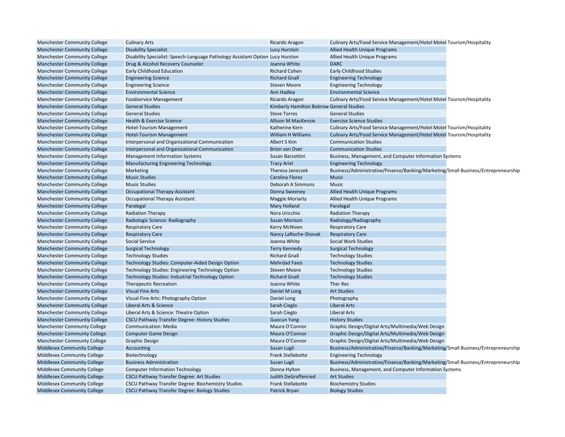| <b>Manchester Community College</b> | <b>Culinary Arts</b>                                                           | Ricardo Aragon                           | Culinary Arts/Food Service Management/Hotel Motel Tourism/Hospitality             |  |
|-------------------------------------|--------------------------------------------------------------------------------|------------------------------------------|-----------------------------------------------------------------------------------|--|
| <b>Manchester Community College</b> | <b>Disability Specialist</b>                                                   | Lucy Hurston                             | <b>Allied Health Unique Programs</b>                                              |  |
| <b>Manchester Community College</b> | Disability Specialist: Speech-Language Pathology Assistant Option Lucy Hurston |                                          | Allied Health Unique Programs                                                     |  |
| <b>Manchester Community College</b> | Drug & Alcohol Recovery Counselor                                              | Joanna White                             | <b>DARC</b>                                                                       |  |
| <b>Manchester Community College</b> | Early Childhood Education                                                      | <b>Richard Cohen</b>                     | <b>Early Childhood Studies</b>                                                    |  |
| <b>Manchester Community College</b> | <b>Engineering Science</b>                                                     | <b>Richard Gnall</b>                     | <b>Engineering Technology</b>                                                     |  |
| <b>Manchester Community College</b> | <b>Engineering Science</b>                                                     | <b>Steven Moore</b>                      | <b>Engineering Technology</b>                                                     |  |
| <b>Manchester Community College</b> | <b>Environmental Science</b>                                                   | Ann Hadley                               | <b>Environmental Science</b>                                                      |  |
| <b>Manchester Community College</b> | Foodservice Management                                                         | Ricardo Aragon                           | Culinary Arts/Food Service Management/Hotel Motel Tourism/Hospitality             |  |
| <b>Manchester Community College</b> | <b>General Studies</b>                                                         | Kimberly Hamilton Bobrow General Studies |                                                                                   |  |
| <b>Manchester Community College</b> | <b>General Studies</b>                                                         | <b>Steve Torres</b>                      | <b>General Studies</b>                                                            |  |
| <b>Manchester Community College</b> | <b>Health &amp; Exercise Science</b>                                           | <b>Allison M MacKenzie</b>               | <b>Exercise Science Studies</b>                                                   |  |
| <b>Manchester Community College</b> | Hotel-Tourism Management                                                       | Katherine Kern                           | Culinary Arts/Food Service Management/Hotel Motel Tourism/Hospitality             |  |
| <b>Manchester Community College</b> | Hotel-Tourism Management                                                       | William H Williams                       | Culinary Arts/Food Service Management/Hotel Motel Tourism/Hospitality             |  |
| <b>Manchester Community College</b> | Interpersonal and Organizational Communication                                 | Albert S Kim                             | <b>Communication Studies</b>                                                      |  |
| <b>Manchester Community College</b> | Interpersonal and Organizational Communication                                 | <b>Brion van Over</b>                    | <b>Communication Studies</b>                                                      |  |
| <b>Manchester Community College</b> | <b>Management Information Systems</b>                                          | Susan Barzottini                         | Business, Management, and Computer Information Systems                            |  |
| <b>Manchester Community College</b> | <b>Manufacturing Engineering Technology</b>                                    | <b>Tracy Ariel</b>                       | <b>Engineering Technology</b>                                                     |  |
| <b>Manchester Community College</b> | Marketing                                                                      | Theresa Janeczek                         | Business/Administrative/Finance/Banking/Marketing/Small Business/Entrepreneurship |  |
| <b>Manchester Community College</b> | <b>Music Studies</b>                                                           | <b>Carolina Flores</b>                   | <b>Music</b>                                                                      |  |
| <b>Manchester Community College</b> | <b>Music Studies</b>                                                           | Deborah A Simmons                        | Music                                                                             |  |
| <b>Manchester Community College</b> | <b>Occupational Therapy Assistant</b>                                          | Donna Sweeney                            | <b>Allied Health Unique Programs</b>                                              |  |
| <b>Manchester Community College</b> | <b>Occupational Therapy Assistant</b>                                          | <b>Maggie Moriarty</b>                   | Allied Health Unique Programs                                                     |  |
| <b>Manchester Community College</b> | Paralegal                                                                      | Mary Holland                             | Paralegal                                                                         |  |
| <b>Manchester Community College</b> | <b>Radiation Therapy</b>                                                       | Nora Uricchio                            | <b>Radiation Therapy</b>                                                          |  |
| <b>Manchester Community College</b> | Radiologic Science: Radiography                                                | <b>Susan Morison</b>                     | Radiology/Radiography                                                             |  |
| <b>Manchester Community College</b> | <b>Respiratory Care</b>                                                        | <b>Kerry McNiven</b>                     | <b>Respiratory Care</b>                                                           |  |
| <b>Manchester Community College</b> | <b>Respiratory Care</b>                                                        | Nancy LaRoche-Shovak                     | <b>Respiratory Care</b>                                                           |  |
| <b>Manchester Community College</b> | Social Service                                                                 | Joanna White                             | Social Work Studies                                                               |  |
| <b>Manchester Community College</b> | <b>Surgical Technology</b>                                                     | <b>Terry Kennedy</b>                     | <b>Surgical Technology</b>                                                        |  |
| <b>Manchester Community College</b> | <b>Technology Studies</b>                                                      | <b>Richard Gnall</b>                     | <b>Technology Studies</b>                                                         |  |
| <b>Manchester Community College</b> | Technology Studies: Computer-Aided Design Option                               | <b>Mehrdad Faezi</b>                     | <b>Technology Studies</b>                                                         |  |
| <b>Manchester Community College</b> | Technology Studies: Engineering Technology Option                              | <b>Steven Moore</b>                      | <b>Technology Studies</b>                                                         |  |
| <b>Manchester Community College</b> | <b>Technology Studies: Industrial Technology Option</b>                        | <b>Richard Gnall</b>                     | <b>Technology Studies</b>                                                         |  |
| <b>Manchester Community College</b> | <b>Therapeutic Recreation</b>                                                  | Joanna White                             | Ther Rec                                                                          |  |
| <b>Manchester Community College</b> | <b>Visual Fine Arts</b>                                                        | Daniel M Long                            | <b>Art Studies</b>                                                                |  |
| <b>Manchester Community College</b> | Visual Fine Arts: Photography Option                                           | Daniel Long                              | Photography                                                                       |  |
| <b>Manchester Communtiy College</b> | Liberal Arts & Science                                                         | Sarah Cieglo                             | <b>Liberal Arts</b>                                                               |  |
| <b>Manchester Communtiy College</b> | Liberal Arts & Science: Theatre Option                                         | Sarah Cieglo                             | <b>Liberal Arts</b>                                                               |  |
| <b>Manchester Communtiy College</b> | CSCU Pathway Transfer Degree: History Studies                                  | <b>Guocun Yang</b>                       | <b>History Studies</b>                                                            |  |
| <b>Manchester Communty College</b>  | <b>Communication: Media</b>                                                    | Maura O'Connor                           | Graphic Design/Digital Arts/Multimedia/Web Design                                 |  |
| <b>Manchester Communty College</b>  | <b>Computer Game Design</b>                                                    | Maura O'Connor                           | Graphic Design/Digital Arts/Multimedia/Web Design                                 |  |
| <b>Manchester Communty College</b>  | <b>Graphic Design</b>                                                          | Maura O'Connor                           | Graphic Design/Digital Arts/Multimedia/Web Design                                 |  |
| <b>Middlesex Community College</b>  | Accounting                                                                     | Susan Lugli                              | Business/Administrative/Finance/Banking/Marketing/Small Business/Entrepreneurship |  |
| Middlesex Community College         | Biotechnology                                                                  | Frank Stellabotte                        | <b>Engineering Technology</b>                                                     |  |
| Middlesex Community College         | <b>Business Administration</b>                                                 | Susan Lugli                              | Business/Administrative/Finance/Banking/Marketing/Small Business/Entrepreneurship |  |
| Middlesex Community College         | <b>Computer Information Technology</b>                                         | Donna Hylton                             | Business, Management, and Computer Information Systems                            |  |
| <b>Middlesex Community College</b>  | <b>CSCU Pathway Transfer Degree: Art Studies</b>                               | <b>Judith DeGraffenried</b>              | <b>Art Studies</b>                                                                |  |
| Middlesex Community College         | CSCU Pathway Transfer Degree: Biochemistry Studies                             | <b>Frank Stellabotte</b>                 | <b>Biochemistry Studies</b>                                                       |  |
| <b>Middlesex Community College</b>  | <b>CSCU Pathway Transfer Degree: Biology Studies</b>                           | Patrick Bryan                            | <b>Biology Studies</b>                                                            |  |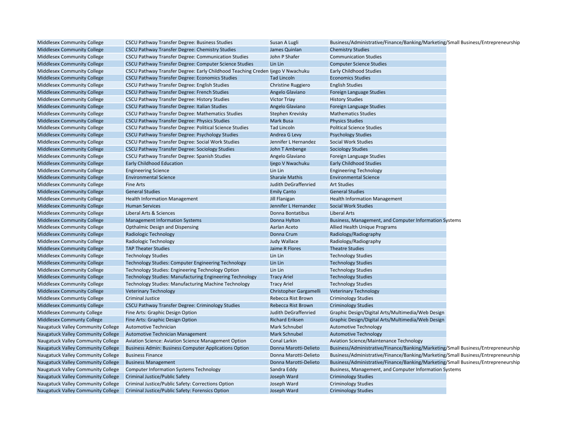| Middlesex Community College        | CSCU Pathway Transfer Degree: Business Studies                                 | Susan A Lugli             | Business/Administrative/Finance/Banking/Marketing/Small Business/Entrepreneurship |
|------------------------------------|--------------------------------------------------------------------------------|---------------------------|-----------------------------------------------------------------------------------|
| <b>Middlesex Community College</b> | CSCU Pathway Transfer Degree: Chemistry Studies                                | James Quinlan             | <b>Chemistry Studies</b>                                                          |
| Middlesex Community College        | CSCU Pathway Transfer Degree: Communication Studies                            | John P Shafer             | <b>Communication Studies</b>                                                      |
| <b>Middlesex Community College</b> | CSCU Pathway Transfer Degree: Computer Science Studies                         | Lin Lin                   | <b>Computer Science Studies</b>                                                   |
| Middlesex Community College        | CSCU Pathway Transfer Degree: Early Childhood Teaching Creden Ijego V Nwachuku |                           | <b>Early Childhood Studies</b>                                                    |
| <b>Middlesex Community College</b> | <b>CSCU Pathway Transfer Degree: Economics Studies</b>                         | <b>Tad Lincoln</b>        | <b>Economics Studies</b>                                                          |
| Middlesex Community College        | CSCU Pathway Transfer Degree: English Studies                                  | <b>Christine Ruggiero</b> | <b>English Studies</b>                                                            |
| <b>Middlesex Community College</b> | CSCU Pathway Transfer Degree: French Studies                                   | Angelo Glaviano           | Foreign Language Studies                                                          |
| Middlesex Community College        | CSCU Pathway Transfer Degree: History Studies                                  | <b>Victor Triay</b>       | <b>History Studies</b>                                                            |
| <b>Middlesex Community College</b> | CSCU Pathway Transfer Degree: Italian Studies                                  | Angelo Glaviano           | Foreign Language Studies                                                          |
| Middlesex Community College        | CSCU Pathway Transfer Degree: Mathematics Studies                              | Stephen Krevisky          | <b>Mathematics Studies</b>                                                        |
| <b>Middlesex Community College</b> | CSCU Pathway Transfer Degree: Physics Studies                                  | <b>Mark Busa</b>          | <b>Physics Studies</b>                                                            |
| Middlesex Community College        | CSCU Pathway Transfer Degree: Political Science Studies                        | <b>Tad Lincoln</b>        | <b>Political Science Studies</b>                                                  |
| <b>Middlesex Community College</b> | CSCU Pathway Transfer Degree: Psychology Studies                               | Andrea G Levy             | <b>Psychology Studies</b>                                                         |
| Middlesex Community College        | CSCU Pathway Transfer Degree: Social Work Studies                              | Jennifer L Hernandez      | Social Work Studies                                                               |
| <b>Middlesex Community College</b> | <b>CSCU Pathway Transfer Degree: Sociology Studies</b>                         | John T Ambenge            | <b>Sociology Studies</b>                                                          |
| Middlesex Community College        | CSCU Pathway Transfer Degree: Spanish Studies                                  | Angelo Glaviano           | Foreign Language Studies                                                          |
| Middlesex Community College        | <b>Early Childhood Education</b>                                               | Ijego V Nwachuku          | <b>Early Childhood Studies</b>                                                    |
| Middlesex Community College        | <b>Engineering Science</b>                                                     | Lin Lin                   | <b>Engineering Technology</b>                                                     |
| Middlesex Community College        | <b>Environmental Science</b>                                                   | <b>Sharale Mathis</b>     | <b>Environmental Science</b>                                                      |
| Middlesex Community College        | <b>Fine Arts</b>                                                               | Judith DeGraffenried      | <b>Art Studies</b>                                                                |
| Middlesex Community College        | <b>General Studies</b>                                                         | <b>Emily Canto</b>        | <b>General Studies</b>                                                            |
| Middlesex Community College        | <b>Health Information Management</b>                                           | Jill Flanigan             | <b>Health Information Management</b>                                              |
| <b>Middlesex Community College</b> | <b>Human Services</b>                                                          | Jennifer L Hernandez      | <b>Social Work Studies</b>                                                        |
| Middlesex Community College        | Liberal Arts & Sciences                                                        | Donna Bontatibus          | <b>Liberal Arts</b>                                                               |
| <b>Middlesex Community College</b> | <b>Management Information Systems</b>                                          | Donna Hylton              | Business, Management, and Computer Information Systems                            |
| Middlesex Community College        | Opthalmic Design and Dispensing                                                | Aarlan Aceto              | Allied Health Unique Programs                                                     |
| <b>Middlesex Community College</b> | Radiologic Technology                                                          | Donna Crum                | Radiology/Radiography                                                             |
| Middlesex Community College        | Radiologic Technology                                                          | <b>Judy Wallace</b>       | Radiology/Radiography                                                             |
| <b>Middlesex Community College</b> | <b>TAP Theater Studies</b>                                                     | Jaime R Flores            | <b>Theatre Studies</b>                                                            |
| Middlesex Community College        | <b>Technology Studies</b>                                                      | Lin Lin                   | <b>Technology Studies</b>                                                         |
| <b>Middlesex Community College</b> | <b>Technology Studies: Computer Engineering Technology</b>                     | Lin Lin                   | <b>Technology Studies</b>                                                         |
| Middlesex Community College        | Technology Studies: Engineering Technology Option                              | Lin Lin                   | <b>Technology Studies</b>                                                         |
| Middlesex Community College        | Technology Studies: Manufacturing Engineering Technology                       | <b>Tracy Ariel</b>        | <b>Technology Studies</b>                                                         |
| Middlesex Community College        | <b>Technology Studies: Manufacturing Machine Technology</b>                    | <b>Tracy Ariel</b>        | <b>Technology Studies</b>                                                         |
| <b>Middlesex Community College</b> | <b>Veterinary Technology</b>                                                   | Christopher Gargamelli    | <b>Veterinary Technology</b>                                                      |
| Middlesex Communtiy College        | <b>Criminal Justice</b>                                                        | Rebecca Rist Brown        | <b>Criminology Studies</b>                                                        |
| Middlesex Communtiy College        | CSCU Pathway Transfer Degree: Criminology Studies                              | Rebecca Rist Brown        | <b>Criminology Studies</b>                                                        |
| Middlesex Communty College         | Fine Arts: Graphic Design Option                                               | Judith DeGraffenried      | Graphic Design/Digital Arts/Multimedia/Web Design                                 |
| Middlesex Communty College         | Fine Arts: Graphic Design Option                                               | <b>Richard Eriksen</b>    | Graphic Design/Digital Arts/Multimedia/Web Design                                 |
| Naugatuck Valley Community College | Automotive Technician                                                          | <b>Mark Schnubel</b>      | <b>Automotive Technology</b>                                                      |
| Naugatuck Valley Community College | <b>Automotive Technician Management</b>                                        | Mark Schnubel             | <b>Automotive Technology</b>                                                      |
| Naugatuck Valley Community College | Aviation Science: Aviation Science Management Option                           | Conal Larkin              | Aviation Science/Maintenance Technology                                           |
| Naugatuck Valley Community College | <b>Business Admin: Business Computer Applications Option</b>                   | Donna Marotti-Delieto     | Business/Administrative/Finance/Banking/Marketing/Small Business/Entrepreneurship |
| Naugatuck Valley Community College | <b>Business Finance</b>                                                        | Donna Marotti-Delieto     | Business/Administrative/Finance/Banking/Marketing/Small Business/Entrepreneurship |
| Naugatuck Valley Community College | <b>Business Management</b>                                                     | Donna Marotti-Delieto     | Business/Administrative/Finance/Banking/Marketing/Small Business/Entrepreneurship |
| Naugatuck Valley Community College | <b>Computer Information Systems Technology</b>                                 | Sandra Eddy               | Business, Management, and Computer Information Systems                            |
| Naugatuck Valley Community College | Criminal Justice/Public Safety                                                 | Joseph Ward               | <b>Criminology Studies</b>                                                        |
| Naugatuck Valley Community College | Criminal Justice/Public Safety: Corrections Option                             | Joseph Ward               | <b>Criminology Studies</b>                                                        |
| Naugatuck Valley Community College | Criminal Justice/Public Safety: Forensics Option                               | Joseph Ward               |                                                                                   |
|                                    |                                                                                |                           | <b>Criminology Studies</b>                                                        |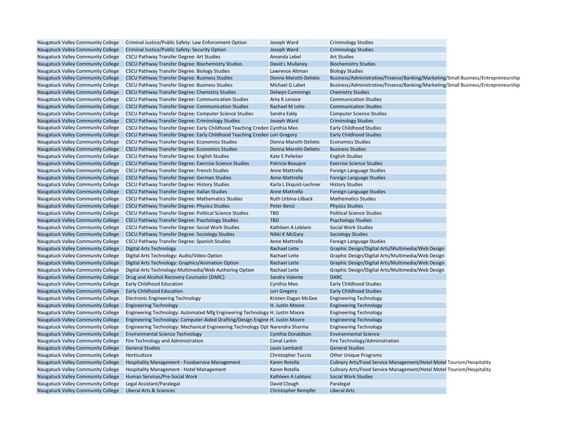| Naugatuck Valley Community College        | Criminal Justice/Public Safety: Law Enforcement Option                        | Joseph Ward                | <b>Criminology Studies</b>                                                        |  |
|-------------------------------------------|-------------------------------------------------------------------------------|----------------------------|-----------------------------------------------------------------------------------|--|
| Naugatuck Valley Community College        | Criminal Justice/Public Safety: Security Option                               | Joseph Ward                | <b>Criminology Studies</b>                                                        |  |
| Naugatuck Valley Community College        | <b>CSCU Pathway Transfer Degree: Art Studies</b>                              | Amanda Lebel               | <b>Art Studies</b>                                                                |  |
| Naugatuck Valley Community College        | CSCU Pathway Transfer Degree: Biochemistry Studies                            | David L Mullaney           | <b>Biochemistry Studies</b>                                                       |  |
| Naugatuck Valley Community College        | <b>CSCU Pathway Transfer Degree: Biology Studies</b>                          | Lawrence Altman            | <b>Biology Studies</b>                                                            |  |
| Naugatuck Valley Community College        | CSCU Pathway Transfer Degree: Business Studies                                | Donna Marotti-Delieto      | Business/Administrative/Finance/Banking/Marketing/Small Business/Entrepreneurship |  |
| Naugatuck Valley Community College        | <b>CSCU Pathway Transfer Degree: Business Studies</b>                         | Michael G Labet            | Business/Administrative/Finance/Banking/Marketing/Small Business/Entrepreneurship |  |
| Naugatuck Valley Community College        | <b>CSCU Pathway Transfer Degree: Chemistry Studies</b>                        | <b>Delwyn Cummings</b>     | <b>Chemistry Studies</b>                                                          |  |
| Naugatuck Valley Community College        | CSCU Pathway Transfer Degree: Communication Studies                           | Amy K Lenoce               | <b>Communication Studies</b>                                                      |  |
| Naugatuck Valley Community College        | <b>CSCU Pathway Transfer Degree: Communication Studies</b>                    | Rachael M Leite            | <b>Communication Studies</b>                                                      |  |
| Naugatuck Valley Community College        | CSCU Pathway Transfer Degree: Computer Science Studies                        | Sandra Eddy                | <b>Computer Science Studies</b>                                                   |  |
| <b>Naugatuck Valley Community College</b> | CSCU Pathway Transfer Degree: Criminology Studies                             | Joseph Ward                | <b>Criminology Studies</b>                                                        |  |
| Naugatuck Valley Community College        | CSCU Pathway Transfer Degree: Early Childhood Teaching Creden Cynthia Meo     |                            | <b>Early Childhood Studies</b>                                                    |  |
| Naugatuck Valley Community College        | CSCU Pathway Transfer Degree: Early Childhood Teaching Creden Lori Gregory    |                            | <b>Early Childhood Studies</b>                                                    |  |
| Naugatuck Valley Community College        | <b>CSCU Pathway Transfer Degree: Economics Studies</b>                        | Donna Marotti-Delieto      | <b>Economics Studies</b>                                                          |  |
| Naugatuck Valley Community College        | <b>CSCU Pathway Transfer Degree: Economics Studies</b>                        | Donna Marotti-Delieto      | <b>Business Studies</b>                                                           |  |
| Naugatuck Valley Community College        | <b>CSCU Pathway Transfer Degree: English Studies</b>                          | Kate E Pelletier           | <b>English Studies</b>                                                            |  |
| Naugatuck Valley Community College        | CSCU Pathway Transfer Degree: Exercise Science Studies                        | Patricia Beaupre           | <b>Exercise Science Studies</b>                                                   |  |
| Naugatuck Valley Community College        | CSCU Pathway Transfer Degree: French Studies                                  | Anne Mattrella             | Foreign Language Studies                                                          |  |
| Naugatuck Valley Community College        | CSCU Pathway Transfer Degree: German Studies                                  | Anne Mattrella             | Foreign Language Studies                                                          |  |
| Naugatuck Valley Community College        | <b>CSCU Pathway Transfer Degree: History Studies</b>                          | Karla L Ekquist-Lechner    | <b>History Studies</b>                                                            |  |
| Naugatuck Valley Community College        | CSCU Pathway Transfer Degree: Italian Studies                                 | Anne Mattrella             | Foreign Language Studies                                                          |  |
| Naugatuck Valley Community College        | CSCU Pathway Transfer Degree: Mathematics Studies                             | Ruth Urbina-Lilback        | <b>Mathematics Studies</b>                                                        |  |
| Naugatuck Valley Community College        | <b>CSCU Pathway Transfer Degree: Physics Studies</b>                          | Peter Benzi                | <b>Physics Studies</b>                                                            |  |
| Naugatuck Valley Community College        | CSCU Pathway Transfer Degree: Political Science Studies                       | <b>TBD</b>                 | <b>Political Science Studies</b>                                                  |  |
| Naugatuck Valley Community College        | <b>CSCU Pathway Transfer Degree: Psychology Studies</b>                       | <b>TBD</b>                 | <b>Psychology Studies</b>                                                         |  |
| Naugatuck Valley Community College        | CSCU Pathway Transfer Degree: Social Work Studies                             | Kathleen A Leblanc         | Social Work Studies                                                               |  |
| Naugatuck Valley Community College        | <b>CSCU Pathway Transfer Degree: Sociology Studies</b>                        | Nikki K McGary             | <b>Sociology Studies</b>                                                          |  |
| Naugatuck Valley Community College        | <b>CSCU Pathway Transfer Degree: Spanish Studies</b>                          | Anne Mattrella             | Foreign Language Studies                                                          |  |
| Naugatuck Valley Community College        | <b>Digital Arts Technology</b>                                                | Rachael Leite              | Graphic Design/Digital Arts/Multimedia/Web Design                                 |  |
| Naugatuck Valley Community College        | Digital Arts Technology: Audio/Video Option                                   | Rachael Leite              | Graphic Design/Digital Arts/Multimedia/Web Design                                 |  |
| Naugatuck Valley Community College        | Digital Arts Technology: Graphics/Animation Option                            | Rachael Leite              | Graphic Design/Digital Arts/Multimedia/Web Design                                 |  |
| Naugatuck Valley Community College        | Digital Arts Technology: Multimedia/Web Authoring Option                      | Rachael Leite              | Graphic Design/Digital Arts/Multimedia/Web Design                                 |  |
| Naugatuck Valley Community College        | Drug and Alcohol Recovery Counselor (DARC)                                    | Sandra Valente             | <b>DARC</b>                                                                       |  |
| Naugatuck Valley Community College        | <b>Early Childhood Education</b>                                              | Cynthia Meo                | <b>Early Childhood Studies</b>                                                    |  |
| Naugatuck Valley Community College        | <b>Early Childhood Education</b>                                              | Lori Gregory               | <b>Early Childhood Studies</b>                                                    |  |
| Naugatuck Valley Community College        | <b>Electronic Engineering Technology</b>                                      | Kristen Dagan McGee        | <b>Engineering Technology</b>                                                     |  |
| Naugatuck Valley Community College        | <b>Engineering Technology</b>                                                 | H. Justin Moore            | <b>Engineering Technology</b>                                                     |  |
| Naugatuck Valley Community College        | Engineering Technology: Automated Mfg Engineering Technology H. Justin Moore  |                            | <b>Engineering Technology</b>                                                     |  |
| Naugatuck Valley Community College        | Engineering Technology: Computer-Aided Drafting/Design Engine H. Justin Moore |                            | <b>Engineering Technology</b>                                                     |  |
| Naugatuck Valley Community College        | Engineering Technology: Mechanical Engineering Technology Opt Narendra Sharma |                            | <b>Engineering Technology</b>                                                     |  |
| Naugatuck Valley Community College        | <b>Environmental Science Technology</b>                                       | Cynthia Donaldson          | <b>Environmental Science</b>                                                      |  |
| Naugatuck Valley Community College        | Fire Technology and Administration                                            | Conal Larkin               | Fire Technology/Administration                                                    |  |
| Naugatuck Valley Community College        | <b>General Studies</b>                                                        | Louis Lombard              | <b>General Studies</b>                                                            |  |
| Naugatuck Valley Community College        | Horticulture                                                                  | <b>Christopher Tuccio</b>  | <b>Other Unique Programs</b>                                                      |  |
| Naugatuck Valley Community College        | <b>Hospitality Management - Foodservice Management</b>                        | Karen Rotella              | Culinary Arts/Food Service Management/Hotel Motel Tourism/Hospitality             |  |
| Naugatuck Valley Community College        | Hospitality Management - Hotel Management                                     | Karen Rotella              | Culinary Arts/Food Service Management/Hotel Motel Tourism/Hospitality             |  |
| Naugatuck Valley Community College        | Human Services/Pre-Social Work                                                | Kathleen A Leblanc         | <b>Social Work Studies</b>                                                        |  |
| Naugatuck Valley Community College        | Legal Assistant/Paralegal                                                     | David Clough               | Paralegal                                                                         |  |
| Naugatuck Valley Community College        | Liberal Arts & Sciences                                                       | <b>Christopher Rempfer</b> | <b>Liberal Arts</b>                                                               |  |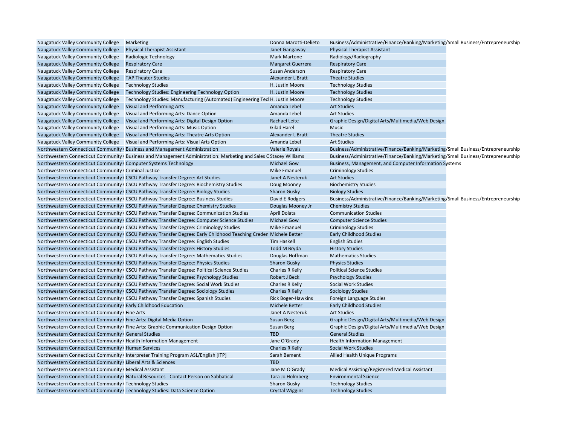| Naugatuck Valley Community College                                  | Marketing                                                                                                         | Donna Marotti-Delieto     | Business/Administrative/Finance/Banking/Marketing/Small Business/Entrepreneurship |  |
|---------------------------------------------------------------------|-------------------------------------------------------------------------------------------------------------------|---------------------------|-----------------------------------------------------------------------------------|--|
| Naugatuck Valley Community College                                  | <b>Physical Therapist Assistant</b>                                                                               | Janet Gangaway            | <b>Physical Therapist Assistant</b>                                               |  |
| Naugatuck Valley Community College                                  | Radiologic Technology                                                                                             | <b>Mark Martone</b>       | Radiology/Radiography                                                             |  |
| Naugatuck Valley Community College                                  | <b>Respiratory Care</b>                                                                                           | <b>Margaret Guerrera</b>  | <b>Respiratory Care</b>                                                           |  |
| Naugatuck Valley Community College                                  | <b>Respiratory Care</b>                                                                                           | Susan Anderson            | <b>Respiratory Care</b>                                                           |  |
| Naugatuck Valley Community College                                  | <b>TAP Theater Studies</b>                                                                                        | Alexander L Bratt         | <b>Theatre Studies</b>                                                            |  |
| Naugatuck Valley Community College                                  | <b>Technology Studies</b>                                                                                         | H. Justin Moore           | <b>Technology Studies</b>                                                         |  |
| Naugatuck Valley Community College                                  | Technology Studies: Engineering Technology Option                                                                 | H. Justin Moore           | <b>Technology Studies</b>                                                         |  |
| Naugatuck Valley Community College                                  | Technology Studies: Manufacturing (Automated) Engineering Tecl H. Justin Moore                                    |                           | <b>Technology Studies</b>                                                         |  |
| Naugatuck Valley Community College                                  | <b>Visual and Performing Arts</b>                                                                                 | Amanda Lebel              | <b>Art Studies</b>                                                                |  |
| Naugatuck Valley Community College                                  | Visual and Performing Arts: Dance Option                                                                          | Amanda Lebel              | <b>Art Studies</b>                                                                |  |
| Naugatuck Valley Community College                                  | Visual and Performing Arts: Digital Design Option                                                                 | Rachael Leite             | Graphic Design/Digital Arts/Multimedia/Web Design                                 |  |
| Naugatuck Valley Community College                                  | Visual and Performing Arts: Music Option                                                                          | <b>Gilad Harel</b>        | Music                                                                             |  |
|                                                                     | Naugatuck Valley Community College Visual and Performing Arts: Theatre Arts Option                                | Alexander L Bratt         | <b>Theatre Studies</b>                                                            |  |
|                                                                     | Naugatuck Valley Community College Visual and Performing Arts: Visual Arts Option                                 | Amanda Lebel              | <b>Art Studies</b>                                                                |  |
|                                                                     | Northwestern Connecticut Community (Business and Management Administration                                        | Valerie Royals            | Business/Administrative/Finance/Banking/Marketing/Small Business/Entrepreneurship |  |
|                                                                     | Northwestern Connecticut Community (Business and Management Administration: Marketing and Sales C Stacey Williams |                           | Business/Administrative/Finance/Banking/Marketing/Small Business/Entrepreneurship |  |
| Northwestern Connecticut Community (Computer Systems Technology     |                                                                                                                   | <b>Michael Gow</b>        | Business, Management, and Computer Information Systems                            |  |
| Northwestern Connecticut Community (Criminal Justice                |                                                                                                                   | <b>Mike Emanuel</b>       | <b>Criminology Studies</b>                                                        |  |
|                                                                     | Northwestern Connecticut Community (CSCU Pathway Transfer Degree: Art Studies                                     | Janet A Nesteruk          | <b>Art Studies</b>                                                                |  |
|                                                                     | Northwestern Connecticut Community (CSCU Pathway Transfer Degree: Biochemistry Studies                            | Doug Mooney               | <b>Biochemistry Studies</b>                                                       |  |
|                                                                     | Northwestern Connecticut Community (CSCU Pathway Transfer Degree: Biology Studies                                 | <b>Sharon Gusky</b>       | <b>Biology Studies</b>                                                            |  |
|                                                                     | Northwestern Connecticut Community (CSCU Pathway Transfer Degree: Business Studies                                | David E Rodgers           | Business/Administrative/Finance/Banking/Marketing/Small Business/Entrepreneurship |  |
|                                                                     | Northwestern Connecticut Community (CSCU Pathway Transfer Degree: Chemistry Studies                               | Douglas Mooney Jr         | <b>Chemistry Studies</b>                                                          |  |
|                                                                     | Northwestern Connecticut Community (CSCU Pathway Transfer Degree: Communication Studies                           | <b>April Dolata</b>       | <b>Communication Studies</b>                                                      |  |
|                                                                     | Northwestern Connecticut Community (CSCU Pathway Transfer Degree: Computer Science Studies                        | <b>Michael Gow</b>        | <b>Computer Science Studies</b>                                                   |  |
|                                                                     | Northwestern Connecticut Community (CSCU Pathway Transfer Degree: Criminology Studies                             | <b>Mike Emanuel</b>       | <b>Criminology Studies</b>                                                        |  |
|                                                                     | Northwestern Connecticut Community (CSCU Pathway Transfer Degree: Early Childhood Teaching Creden Michele Better  |                           | <b>Early Childhood Studies</b>                                                    |  |
|                                                                     | Northwestern Connecticut Community (CSCU Pathway Transfer Degree: English Studies                                 | <b>Tim Haskell</b>        | <b>English Studies</b>                                                            |  |
|                                                                     | Northwestern Connecticut Community (CSCU Pathway Transfer Degree: History Studies                                 | <b>Todd M Bryda</b>       | <b>History Studies</b>                                                            |  |
|                                                                     | Northwestern Connecticut Community (CSCU Pathway Transfer Degree: Mathematics Studies                             | Douglas Hoffman           | <b>Mathematics Studies</b>                                                        |  |
|                                                                     | Northwestern Connecticut Community (CSCU Pathway Transfer Degree: Physics Studies                                 | <b>Sharon Gusky</b>       | <b>Physics Studies</b>                                                            |  |
|                                                                     | Northwestern Connecticut Community (CSCU Pathway Transfer Degree: Political Science Studies                       | Charles R Kelly           | <b>Political Science Studies</b>                                                  |  |
|                                                                     | Northwestern Connecticut Community (CSCU Pathway Transfer Degree: Psychology Studies                              | Robert J Beck             | <b>Psychology Studies</b>                                                         |  |
|                                                                     | Northwestern Connecticut Community (CSCU Pathway Transfer Degree: Social Work Studies                             | Charles R Kelly           | Social Work Studies                                                               |  |
|                                                                     | Northwestern Connecticut Community (CSCU Pathway Transfer Degree: Sociology Studies                               | <b>Charles R Kelly</b>    | <b>Sociology Studies</b>                                                          |  |
|                                                                     | Northwestern Connecticut Community (CSCU Pathway Transfer Degree: Spanish Studies                                 | <b>Rick Boger-Hawkins</b> | Foreign Language Studies                                                          |  |
| Northwestern Connecticut Community (Early Childhood Education       |                                                                                                                   | <b>Michele Better</b>     | <b>Early Childhood Studies</b>                                                    |  |
| Northwestern Connecticut Community (Fine Arts                       |                                                                                                                   | Janet A Nesteruk          | <b>Art Studies</b>                                                                |  |
| Northwestern Connecticut Community (Fine Arts: Digital Media Option |                                                                                                                   | <b>Susan Berg</b>         | Graphic Design/Digital Arts/Multimedia/Web Design                                 |  |
|                                                                     | Northwestern Connecticut Community (Fine Arts: Graphic Communication Design Option                                | <b>Susan Berg</b>         | Graphic Design/Digital Arts/Multimedia/Web Design                                 |  |
| Northwestern Connecticut Community (General Studies                 |                                                                                                                   | <b>TBD</b>                | <b>General Studies</b>                                                            |  |
| Northwestern Connecticut Community (Health Information Management   |                                                                                                                   | Jane O'Grady              | <b>Health Information Management</b>                                              |  |
| Northwestern Connecticut Community (Human Services                  |                                                                                                                   | <b>Charles R Kelly</b>    | Social Work Studies                                                               |  |
|                                                                     | Northwestern Connecticut Community (Interpreter Training Program ASL/English [ITP]                                | Sarah Bement              | Allied Health Unique Programs                                                     |  |
| Northwestern Connecticut Community (Liberal Arts & Sciences         |                                                                                                                   | <b>TBD</b>                |                                                                                   |  |
| Northwestern Connecticut Community (Medical Assistant               |                                                                                                                   | Jane M O'Grady            | Medical Assisting/Registered Medical Assistant                                    |  |
|                                                                     | Northwestern Connecticut Community (Natural Resources - Contact Person on Sabbatical                              | Tara Jo Holmberg          | <b>Environmental Science</b>                                                      |  |
| Northwestern Connecticut Community (Technology Studies              |                                                                                                                   | <b>Sharon Gusky</b>       | <b>Technology Studies</b>                                                         |  |
|                                                                     | Northwestern Connecticut Community (Technology Studies: Data Science Option                                       | <b>Crystal Wiggins</b>    | <b>Technology Studies</b>                                                         |  |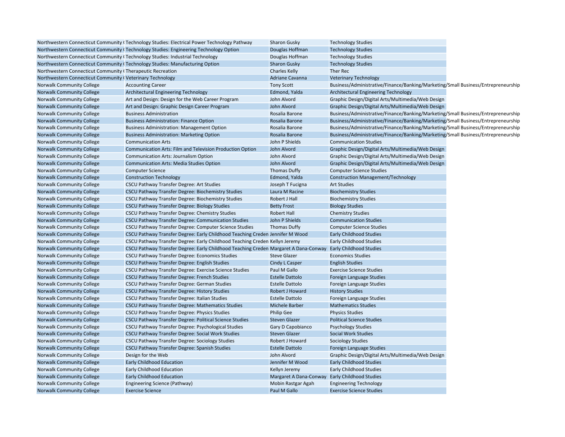|                                                            | Northwestern Connecticut Community (Technology Studies: Electrical Power Technology Pathway                  | Sharon Gusky                                   | <b>Technology Studies</b>                                                         |  |
|------------------------------------------------------------|--------------------------------------------------------------------------------------------------------------|------------------------------------------------|-----------------------------------------------------------------------------------|--|
|                                                            | Northwestern Connecticut Community (Technology Studies: Engineering Technology Option                        | Douglas Hoffman                                | <b>Technology Studies</b>                                                         |  |
|                                                            | Northwestern Connecticut Community (Technology Studies: Industrial Technology                                | Douglas Hoffman                                | <b>Technology Studies</b>                                                         |  |
|                                                            | Northwestern Connecticut Community (Technology Studies: Manufacturing Option                                 | <b>Sharon Gusky</b>                            | <b>Technology Studies</b>                                                         |  |
| Northwestern Connecticut Community (Therapeutic Recreation |                                                                                                              | <b>Charles Kelly</b>                           | Ther Rec                                                                          |  |
| Northwestern Connecticut Community (Veterinary Technology  |                                                                                                              | <b>Adriane Cavanna</b>                         | <b>Veterinary Technology</b>                                                      |  |
| <b>Norwalk Community College</b>                           | <b>Accounting Career</b>                                                                                     | <b>Tony Scott</b>                              | Business/Administrative/Finance/Banking/Marketing/Small Business/Entrepreneurship |  |
| <b>Norwalk Community College</b>                           | Architectural Engineering Technology                                                                         | Edmond, Yalda                                  | <b>Architectural Engineering Technology</b>                                       |  |
| Norwalk Community College                                  | Art and Design: Design for the Web Career Program                                                            | John Alvord                                    | Graphic Design/Digital Arts/Multimedia/Web Design                                 |  |
| <b>Norwalk Community College</b>                           | Art and Design: Graphic Design Career Program                                                                | John Alvord                                    | Graphic Design/Digital Arts/Multimedia/Web Design                                 |  |
| <b>Norwalk Community College</b>                           | <b>Business Administration</b>                                                                               | Rosalia Barone                                 | Business/Administrative/Finance/Banking/Marketing/Small Business/Entrepreneurship |  |
| <b>Norwalk Community College</b>                           | <b>Business Administration: Finance Option</b>                                                               | Rosalia Barone                                 | Business/Administrative/Finance/Banking/Marketing/Small Business/Entrepreneurship |  |
| <b>Norwalk Community College</b>                           | <b>Business Administration: Management Option</b>                                                            | Rosalia Barone                                 | Business/Administrative/Finance/Banking/Marketing/Small Business/Entrepreneurship |  |
| <b>Norwalk Community College</b>                           | <b>Business Administration: Marketing Option</b>                                                             | Rosalia Barone                                 | Business/Administrative/Finance/Banking/Marketing/Small Business/Entrepreneurship |  |
| <b>Norwalk Community College</b>                           | <b>Communication Arts</b>                                                                                    | John P Shields                                 | <b>Communication Studies</b>                                                      |  |
| <b>Norwalk Community College</b>                           | Communication Arts: Film and Television Production Option                                                    | John Alvord                                    | Graphic Design/Digital Arts/Multimedia/Web Design                                 |  |
| Norwalk Community College                                  | <b>Communication Arts: Journalism Option</b>                                                                 | John Alvord                                    | Graphic Design/Digital Arts/Multimedia/Web Design                                 |  |
| <b>Norwalk Community College</b>                           | <b>Communication Arts: Media Studies Option</b>                                                              | John Alvord                                    | Graphic Design/Digital Arts/Multimedia/Web Design                                 |  |
| Norwalk Community College                                  | <b>Computer Science</b>                                                                                      | <b>Thomas Duffy</b>                            | <b>Computer Science Studies</b>                                                   |  |
| Norwalk Community College                                  | <b>Construction Technology</b>                                                                               | Edmond, Yalda                                  | <b>Construction Management/Technology</b>                                         |  |
| <b>Norwalk Community College</b>                           | <b>CSCU Pathway Transfer Degree: Art Studies</b>                                                             | Joseph T Fucigna                               | <b>Art Studies</b>                                                                |  |
| <b>Norwalk Community College</b>                           | CSCU Pathway Transfer Degree: Biochemistry Studies                                                           | Laura M Racine                                 | <b>Biochemistry Studies</b>                                                       |  |
| <b>Norwalk Community College</b>                           | CSCU Pathway Transfer Degree: Biochemistry Studies                                                           | Robert J Hall                                  | <b>Biochemistry Studies</b>                                                       |  |
| <b>Norwalk Community College</b>                           | <b>CSCU Pathway Transfer Degree: Biology Studies</b>                                                         | <b>Betty Frost</b>                             | <b>Biology Studies</b>                                                            |  |
| <b>Norwalk Community College</b>                           | CSCU Pathway Transfer Degree: Chemistry Studies                                                              | <b>Robert Hall</b>                             | <b>Chemistry Studies</b>                                                          |  |
| <b>Norwalk Community College</b>                           | <b>CSCU Pathway Transfer Degree: Communication Studies</b>                                                   | John P Shields                                 | <b>Communication Studies</b>                                                      |  |
| <b>Norwalk Community College</b>                           | CSCU Pathway Transfer Degree: Computer Science Studies                                                       | <b>Thomas Duffy</b>                            | <b>Computer Science Studies</b>                                                   |  |
| <b>Norwalk Community College</b>                           | CSCU Pathway Transfer Degree: Early Childhood Teaching Creden Jennifer M Wood                                |                                                | <b>Early Childhood Studies</b>                                                    |  |
| <b>Norwalk Community College</b>                           | CSCU Pathway Transfer Degree: Early Childhood Teaching Creden Kellyn Jeremy                                  |                                                | <b>Early Childhood Studies</b>                                                    |  |
| <b>Norwalk Community College</b>                           | CSCU Pathway Transfer Degree: Early Childhood Teaching Creden Margaret A Dana-Conway Early Childhood Studies |                                                |                                                                                   |  |
| Norwalk Community College                                  | CSCU Pathway Transfer Degree: Economics Studies                                                              | <b>Steve Glazer</b>                            | <b>Economics Studies</b>                                                          |  |
| Norwalk Community College                                  | CSCU Pathway Transfer Degree: English Studies                                                                | <b>Cindy L Casper</b>                          | <b>English Studies</b>                                                            |  |
| <b>Norwalk Community College</b>                           | CSCU Pathway Transfer Degree: Exercise Science Studies                                                       | Paul M Gallo                                   | <b>Exercise Science Studies</b>                                                   |  |
| Norwalk Community College                                  | CSCU Pathway Transfer Degree: French Studies                                                                 | <b>Estelle Dattolo</b>                         | Foreign Language Studies                                                          |  |
| <b>Norwalk Community College</b>                           | CSCU Pathway Transfer Degree: German Studies                                                                 | <b>Estelle Dattolo</b>                         | Foreign Language Studies                                                          |  |
| Norwalk Community College                                  | CSCU Pathway Transfer Degree: History Studies                                                                | Robert J Howard                                | <b>History Studies</b>                                                            |  |
| <b>Norwalk Community College</b>                           | <b>CSCU Pathway Transfer Degree: Italian Studies</b>                                                         | <b>Estelle Dattolo</b>                         | Foreign Language Studies                                                          |  |
| Norwalk Community College                                  | <b>CSCU Pathway Transfer Degree: Mathematics Studies</b>                                                     | <b>Michele Barber</b>                          | <b>Mathematics Studies</b>                                                        |  |
| <b>Norwalk Community College</b>                           | CSCU Pathway Transfer Degree: Physics Studies                                                                | <b>Philip Gee</b>                              | <b>Physics Studies</b>                                                            |  |
| Norwalk Community College                                  | CSCU Pathway Transfer Degree: Political Science Studies                                                      | <b>Steven Glazer</b>                           | <b>Political Science Studies</b>                                                  |  |
| <b>Norwalk Community College</b>                           | CSCU Pathway Transfer Degree: Psychological Studies                                                          | Gary D Capobianco                              | <b>Psychology Studies</b>                                                         |  |
| <b>Norwalk Community College</b>                           | CSCU Pathway Transfer Degree: Social Work Studies                                                            | <b>Steven Glazer</b>                           | <b>Social Work Studies</b>                                                        |  |
| Norwalk Community College                                  | CSCU Pathway Transfer Degree: Sociology Studies                                                              | Robert J Howard                                | <b>Sociology Studies</b>                                                          |  |
| <b>Norwalk Community College</b>                           | CSCU Pathway Transfer Degree: Spanish Studies                                                                | <b>Estelle Dattolo</b>                         | Foreign Language Studies                                                          |  |
| Norwalk Community College                                  | Design for the Web                                                                                           | John Alvord                                    | Graphic Design/Digital Arts/Multimedia/Web Design                                 |  |
| <b>Norwalk Community College</b>                           | <b>Early Childhood Education</b>                                                                             | Jennifer M Wood                                | <b>Early Childhood Studies</b>                                                    |  |
| Norwalk Community College                                  | Early Childhood Education                                                                                    | Kellyn Jeremy                                  | Early Childhood Studies                                                           |  |
| <b>Norwalk Community College</b>                           | <b>Early Childhood Education</b>                                                                             | Margaret A Dana-Conway Early Childhood Studies |                                                                                   |  |
| <b>Norwalk Community College</b>                           | Engineering Science (Pathway)                                                                                | Mobin Rastgar Agah                             | <b>Engineering Technology</b>                                                     |  |
| Norwalk Community College                                  | <b>Exercise Science</b>                                                                                      | Paul M Gallo                                   | <b>Exercise Science Studies</b>                                                   |  |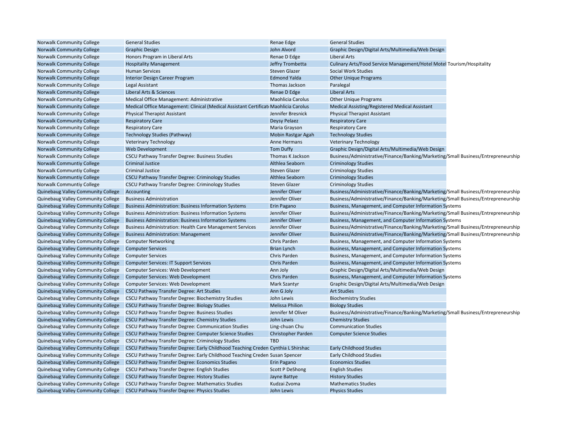| Norwalk Community College                                                | <b>General Studies</b>                                                                                       | Renae Edge             | <b>General Studies</b>                                                            |  |
|--------------------------------------------------------------------------|--------------------------------------------------------------------------------------------------------------|------------------------|-----------------------------------------------------------------------------------|--|
| <b>Norwalk Community College</b>                                         | <b>Graphic Design</b>                                                                                        | John Alvord            | Graphic Design/Digital Arts/Multimedia/Web Design                                 |  |
| <b>Norwalk Community College</b>                                         | Honors Program in Liberal Arts                                                                               | Renae D Edge           | <b>Liberal Arts</b>                                                               |  |
| <b>Norwalk Community College</b>                                         | <b>Hospitality Management</b>                                                                                | Jeffry Trombetta       | Culinary Arts/Food Service Management/Hotel Motel Tourism/Hospitality             |  |
| <b>Norwalk Community College</b>                                         | <b>Human Services</b>                                                                                        | <b>Steven Glazer</b>   | Social Work Studies                                                               |  |
| <b>Norwalk Community College</b>                                         | <b>Interior Design Career Program</b>                                                                        | <b>Edmond Yalda</b>    | <b>Other Unique Programs</b>                                                      |  |
| <b>Norwalk Community College</b>                                         | Legal Assistant                                                                                              | Thomas Jackson         | Paralegal                                                                         |  |
| <b>Norwalk Community College</b>                                         | Liberal Arts & Sciences                                                                                      | Renae D Edge           | <b>Liberal Arts</b>                                                               |  |
| Norwalk Community College                                                | Medical Office Management: Administrative                                                                    | Maohlicia Carolus      | <b>Other Unique Programs</b>                                                      |  |
| <b>Norwalk Community College</b>                                         | Medical Office Management: Clinical (Medical Assistant Certificati Maohlicia Carolus                         |                        | Medical Assisting/Registered Medical Assistant                                    |  |
| <b>Norwalk Community College</b>                                         | <b>Physical Therapist Assistant</b>                                                                          | Jennifer Bresnick      | <b>Physical Therapist Assistant</b>                                               |  |
| <b>Norwalk Community College</b>                                         | <b>Respiratory Care</b>                                                                                      | Deysy Pelaez           | <b>Respiratory Care</b>                                                           |  |
| <b>Norwalk Community College</b>                                         | <b>Respiratory Care</b>                                                                                      | Maria Grayson          | <b>Respiratory Care</b>                                                           |  |
| <b>Norwalk Community College</b>                                         | Technology Studies (Pathway)                                                                                 | Mobin Rastgar Agah     | <b>Technology Studies</b>                                                         |  |
| <b>Norwalk Community College</b>                                         | <b>Veterinary Technology</b>                                                                                 | Anne Hermans           | <b>Veterinary Technology</b>                                                      |  |
| <b>Norwalk Community College</b>                                         | Web Development                                                                                              | <b>Tom Duffy</b>       | Graphic Design/Digital Arts/Multimedia/Web Design                                 |  |
| <b>Norwalk Community College</b>                                         | CSCU Pathway Transfer Degree: Business Studies                                                               | Thomas K Jackson       | Business/Administrative/Finance/Banking/Marketing/Small Business/Entrepreneurship |  |
| <b>Norwalk Communtiy College</b>                                         | <b>Criminal Justice</b>                                                                                      | Althlea Seaborn        | <b>Criminology Studies</b>                                                        |  |
| Norwalk Communtiy College                                                | <b>Criminal Justice</b>                                                                                      | <b>Steven Glazer</b>   | <b>Criminology Studies</b>                                                        |  |
| <b>Norwalk Communtiy College</b>                                         | CSCU Pathway Transfer Degree: Criminology Studies                                                            | Althlea Seaborn        | <b>Criminology Studies</b>                                                        |  |
| Norwalk Communtiy College                                                | CSCU Pathway Transfer Degree: Criminology Studies                                                            | Steven Glazer          | <b>Criminology Studies</b>                                                        |  |
| <b>Quinebaug Valley Community College</b>                                | Accounting                                                                                                   | Jennifer Oliver        | Business/Administrative/Finance/Banking/Marketing/Small Business/Entrepreneurship |  |
| Quinebaug Valley Community College                                       | <b>Business Administration</b>                                                                               | Jennifer Oliver        | Business/Administrative/Finance/Banking/Marketing/Small Business/Entrepreneurship |  |
| <b>Quinebaug Valley Community College</b>                                | <b>Business Administration: Business Information Systems</b>                                                 | Erin Pagano            | Business, Management, and Computer Information Systems                            |  |
| Quinebaug Valley Community College                                       | <b>Business Administration: Business Information Systems</b>                                                 | Jennifer Oliver        | Business/Administrative/Finance/Banking/Marketing/Small Business/Entrepreneurship |  |
| Quinebaug Valley Community College                                       | <b>Business Administration: Business Information Systems</b>                                                 | Jennifer Oliver        | Business, Management, and Computer Information Systems                            |  |
| Quinebaug Valley Community College                                       | <b>Business Administration: Health Care Management Services</b>                                              | Jennifer Oliver        | Business/Administrative/Finance/Banking/Marketing/Small Business/Entrepreneurship |  |
| Quinebaug Valley Community College                                       | <b>Business Administration: Management</b>                                                                   | Jennifer Oliver        | Business/Administrative/Finance/Banking/Marketing/Small Business/Entrepreneurship |  |
| Quinebaug Valley Community College                                       | <b>Computer Networking</b>                                                                                   | Chris Parden           | Business, Management, and Computer Information Systems                            |  |
| Quinebaug Valley Community College                                       | <b>Computer Services</b>                                                                                     | <b>Brian Lynch</b>     | Business, Management, and Computer Information Systems                            |  |
| Quinebaug Valley Community College                                       | <b>Computer Services</b>                                                                                     | Chris Parden           | Business, Management, and Computer Information Systems                            |  |
| Quinebaug Valley Community College                                       | <b>Computer Services: IT Support Services</b>                                                                | Chris Parden           | Business, Management, and Computer Information Systems                            |  |
| <b>Quinebaug Valley Community College</b>                                | Computer Services: Web Development                                                                           | Ann Joly               | Graphic Design/Digital Arts/Multimedia/Web Design                                 |  |
| Quinebaug Valley Community College                                       | Computer Services: Web Development                                                                           | Chris Parden           | Business, Management, and Computer Information Systems                            |  |
| Quinebaug Valley Community College                                       | Computer Services: Web Development                                                                           | <b>Mark Szantyr</b>    | Graphic Design/Digital Arts/Multimedia/Web Design                                 |  |
| Quinebaug Valley Community College                                       | <b>CSCU Pathway Transfer Degree: Art Studies</b>                                                             | Ann G Joly             | <b>Art Studies</b>                                                                |  |
| Quinebaug Valley Community College                                       | <b>CSCU Pathway Transfer Degree: Biochemistry Studies</b>                                                    | John Lewis             | <b>Biochemistry Studies</b>                                                       |  |
| Quinebaug Valley Community College                                       | <b>CSCU Pathway Transfer Degree: Biology Studies</b>                                                         | <b>Melissa Philion</b> | <b>Biology Studies</b>                                                            |  |
| Quinebaug Valley Community College                                       | <b>CSCU Pathway Transfer Degree: Business Studies</b>                                                        | Jennifer M Oliver      | Business/Administrative/Finance/Banking/Marketing/Small Business/Entrepreneurship |  |
| Quinebaug Valley Community College                                       | <b>CSCU Pathway Transfer Degree: Chemistry Studies</b>                                                       | John Lewis             | <b>Chemistry Studies</b>                                                          |  |
| Quinebaug Valley Community College                                       | <b>CSCU Pathway Transfer Degree: Communication Studies</b>                                                   | Ling-chuan Chu         | <b>Communication Studies</b>                                                      |  |
| Quinebaug Valley Community College                                       | <b>CSCU Pathway Transfer Degree: Computer Science Studies</b>                                                | Christopher Parden     | <b>Computer Science Studies</b>                                                   |  |
| Quinebaug Valley Community College                                       | <b>CSCU Pathway Transfer Degree: Criminology Studies</b>                                                     | <b>TBD</b>             |                                                                                   |  |
| Quinebaug Valley Community College                                       | CSCU Pathway Transfer Degree: Early Childhood Teaching Creden Cynthia L Shirshac                             |                        | <b>Early Childhood Studies</b>                                                    |  |
| Quinebaug Valley Community College                                       | CSCU Pathway Transfer Degree: Early Childhood Teaching Creden Susan Spencer                                  |                        | <b>Early Childhood Studies</b>                                                    |  |
|                                                                          |                                                                                                              |                        | <b>Economics Studies</b>                                                          |  |
| Quinebaug Valley Community College                                       | <b>CSCU Pathway Transfer Degree: Economics Studies</b>                                                       | Erin Pagano            |                                                                                   |  |
| Quinebaug Valley Community College<br>Quinebaug Valley Community College | <b>CSCU Pathway Transfer Degree: English Studies</b><br><b>CSCU Pathway Transfer Degree: History Studies</b> | <b>Scott P DeShong</b> | <b>English Studies</b><br><b>History Studies</b>                                  |  |
|                                                                          |                                                                                                              | Jayne Battye           |                                                                                   |  |
| Quinebaug Valley Community College                                       | <b>CSCU Pathway Transfer Degree: Mathematics Studies</b>                                                     | Kudzai Zvoma           | <b>Mathematics Studies</b>                                                        |  |
| <b>Quinebaug Valley Community College</b>                                | <b>CSCU Pathway Transfer Degree: Physics Studies</b>                                                         | John Lewis             | <b>Physics Studies</b>                                                            |  |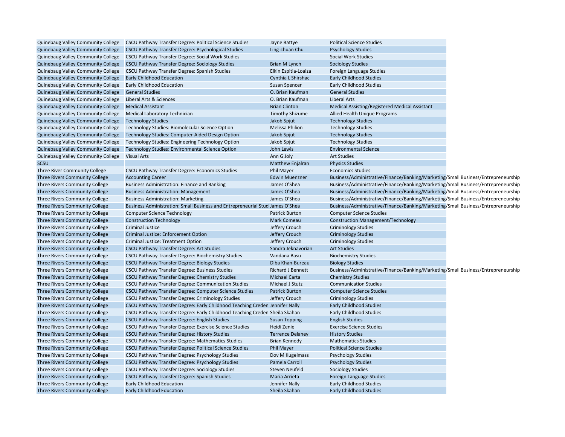|                                           | Quinebaug Valley Community College  CSCU Pathway Transfer Degree: Political Science Studies | Jayne Battye             | <b>Political Science Studies</b>                                                  |  |
|-------------------------------------------|---------------------------------------------------------------------------------------------|--------------------------|-----------------------------------------------------------------------------------|--|
| Quinebaug Valley Community College        | CSCU Pathway Transfer Degree: Psychological Studies                                         | Ling-chuan Chu           | <b>Psychology Studies</b>                                                         |  |
| Quinebaug Valley Community College        | <b>CSCU Pathway Transfer Degree: Social Work Studies</b>                                    |                          | Social Work Studies                                                               |  |
| Quinebaug Valley Community College        | CSCU Pathway Transfer Degree: Sociology Studies                                             | <b>Brian M Lynch</b>     | <b>Sociology Studies</b>                                                          |  |
| Quinebaug Valley Community College        | CSCU Pathway Transfer Degree: Spanish Studies                                               | Elkin Espitia-Loaiza     | Foreign Language Studies                                                          |  |
| Quinebaug Valley Community College        | <b>Early Childhood Education</b>                                                            | Cynthia L Shirshac       | <b>Early Childhood Studies</b>                                                    |  |
| Quinebaug Valley Community College        | <b>Early Childhood Education</b>                                                            | Susan Spencer            | <b>Early Childhood Studies</b>                                                    |  |
| Quinebaug Valley Community College        | <b>General Studies</b>                                                                      | O. Brian Kaufman         | <b>General Studies</b>                                                            |  |
| Quinebaug Valley Community College        | Liberal Arts & Sciences                                                                     | O. Brian Kaufman         | Liberal Arts                                                                      |  |
| Quinebaug Valley Community College        | <b>Medical Assistant</b>                                                                    | <b>Brian Clinton</b>     | Medical Assisting/Registered Medical Assistant                                    |  |
| <b>Quinebaug Valley Community College</b> | Medical Laboratory Technician                                                               | <b>Timothy Shizume</b>   | Allied Health Unique Programs                                                     |  |
| Quinebaug Valley Community College        | <b>Technology Studies</b>                                                                   | Jakob Spjut              | <b>Technology Studies</b>                                                         |  |
| <b>Quinebaug Valley Community College</b> | Technology Studies: Biomolecular Science Option                                             | <b>Melissa Philion</b>   | <b>Technology Studies</b>                                                         |  |
| Quinebaug Valley Community College        | Technology Studies: Computer-Aided Design Option                                            | Jakob Spjut              | <b>Technology Studies</b>                                                         |  |
| Quinebaug Valley Community College        | Technology Studies: Engineering Technology Option                                           | Jakob Spjut              | <b>Technology Studies</b>                                                         |  |
| Quinebaug Valley Community College        | <b>Technology Studies: Environmental Science Option</b>                                     | John Lewis               | <b>Environmental Science</b>                                                      |  |
| Quinebaug Valley Community College        | <b>Visual Arts</b>                                                                          | Ann G Joly               | <b>Art Studies</b>                                                                |  |
| <b>SCSU</b>                               |                                                                                             | <b>Matthew Enjalran</b>  | <b>Physics Studies</b>                                                            |  |
| Three River Community College             | CSCU Pathway Transfer Degree: Economics Studies                                             | <b>Phil Mayer</b>        | <b>Economics Studies</b>                                                          |  |
| Three Rivers Community College            | <b>Accounting Career</b>                                                                    | <b>Edwin Muenzner</b>    | Business/Administrative/Finance/Banking/Marketing/Small Business/Entrepreneurship |  |
| Three Rivers Community College            | <b>Business Administration: Finance and Banking</b>                                         | James O'Shea             | Business/Administrative/Finance/Banking/Marketing/Small Business/Entrepreneurship |  |
| Three Rivers Community College            | <b>Business Administration: Management</b>                                                  | James O'Shea             | Business/Administrative/Finance/Banking/Marketing/Small Business/Entrepreneurship |  |
| Three Rivers Community College            | <b>Business Administration: Marketing</b>                                                   | James O'Shea             | Business/Administrative/Finance/Banking/Marketing/Small Business/Entrepreneurship |  |
| Three Rivers Community College            | Business Administration: Small Business and Entrepreneurial Stud James O'Shea               |                          | Business/Administrative/Finance/Banking/Marketing/Small Business/Entrepreneurship |  |
| Three Rivers Community College            | <b>Computer Science Technology</b>                                                          | <b>Patrick Burton</b>    | <b>Computer Science Studies</b>                                                   |  |
| Three Rivers Community College            | <b>Construction Technology</b>                                                              | <b>Mark Comeau</b>       | <b>Construction Management/Technology</b>                                         |  |
| Three Rivers Community College            | <b>Criminal Justice</b>                                                                     | Jeffery Crouch           | <b>Criminology Studies</b>                                                        |  |
| Three Rivers Community College            | Criminal Justice: Enforcement Option                                                        | Jeffery Crouch           | <b>Criminology Studies</b>                                                        |  |
| Three Rivers Community College            | Criminal Justice: Treatment Option                                                          | Jeffery Crouch           | <b>Criminology Studies</b>                                                        |  |
| Three Rivers Community College            | CSCU Pathway Transfer Degree: Art Studies                                                   | Sandra Jeknavorian       | <b>Art Studies</b>                                                                |  |
| Three Rivers Community College            | CSCU Pathway Transfer Degree: Biochemistry Studies                                          | Vandana Basu             | <b>Biochemistry Studies</b>                                                       |  |
| Three Rivers Community College            | CSCU Pathway Transfer Degree: Biology Studies                                               | Diba Khan-Bureau         | <b>Biology Studies</b>                                                            |  |
| Three Rivers Community College            | CSCU Pathway Transfer Degree: Business Studies                                              | <b>Richard J Bennett</b> | Business/Administrative/Finance/Banking/Marketing/Small Business/Entrepreneurship |  |
| Three Rivers Community College            | CSCU Pathway Transfer Degree: Chemistry Studies                                             | <b>Michael Carta</b>     | <b>Chemistry Studies</b>                                                          |  |
| Three Rivers Community College            | CSCU Pathway Transfer Degree: Communication Studies                                         | Michael J Stutz          | <b>Communication Studies</b>                                                      |  |
| Three Rivers Community College            | CSCU Pathway Transfer Degree: Computer Science Studies                                      | <b>Patrick Burton</b>    | <b>Computer Science Studies</b>                                                   |  |
| Three Rivers Community College            | CSCU Pathway Transfer Degree: Criminology Studies                                           | Jeffery Crouch           | <b>Criminology Studies</b>                                                        |  |
| Three Rivers Community College            | CSCU Pathway Transfer Degree: Early Childhood Teaching Creden Jennifer Nally                |                          | <b>Early Childhood Studies</b>                                                    |  |
| Three Rivers Community College            | CSCU Pathway Transfer Degree: Early Childhood Teaching Creden Sheila Skahan                 |                          | <b>Early Childhood Studies</b>                                                    |  |
| Three Rivers Community College            | CSCU Pathway Transfer Degree: English Studies                                               | <b>Susan Topping</b>     | <b>English Studies</b>                                                            |  |
| Three Rivers Community College            | CSCU Pathway Transfer Degree: Exercise Science Studies                                      | Heidi Zenie              | <b>Exercise Science Studies</b>                                                   |  |
| Three Rivers Community College            | <b>CSCU Pathway Transfer Degree: History Studies</b>                                        | <b>Terrence Delaney</b>  | <b>History Studies</b>                                                            |  |
| Three Rivers Community College            | CSCU Pathway Transfer Degree: Mathematics Studies                                           | <b>Brian Kennedy</b>     | <b>Mathematics Studies</b>                                                        |  |
| Three Rivers Community College            | CSCU Pathway Transfer Degree: Political Science Studies                                     | Phil Mayer               | <b>Political Science Studies</b>                                                  |  |
| Three Rivers Community College            | CSCU Pathway Transfer Degree: Psychology Studies                                            | Dov M Kugelmass          | <b>Psychology Studies</b>                                                         |  |
| Three Rivers Community College            | CSCU Pathway Transfer Degree: Psychology Studies                                            | Pamela Carroll           | <b>Psychology Studies</b>                                                         |  |
| Three Rivers Community College            | CSCU Pathway Transfer Degree: Sociology Studies                                             | <b>Steven Neufeld</b>    | <b>Sociology Studies</b>                                                          |  |
| Three Rivers Community College            | CSCU Pathway Transfer Degree: Spanish Studies                                               | Maria Arrieta            | Foreign Language Studies                                                          |  |
| Three Rivers Community College            | Early Childhood Education                                                                   | Jennifer Nally           | <b>Early Childhood Studies</b>                                                    |  |
|                                           |                                                                                             |                          |                                                                                   |  |
| Three Rivers Community College            | <b>Early Childhood Education</b>                                                            | Sheila Skahan            | <b>Early Childhood Studies</b>                                                    |  |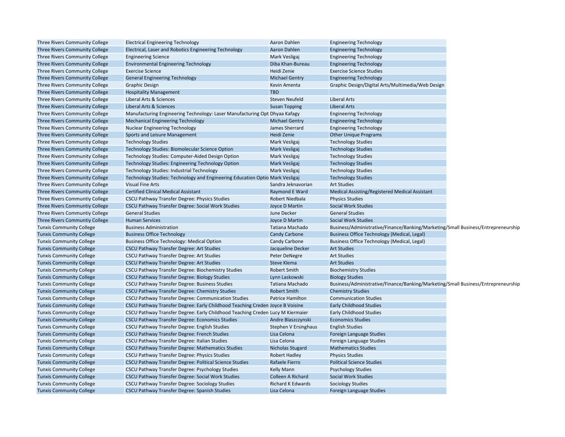| Three Rivers Community College  | <b>Electrical Engineering Technology</b>                                       | Aaron Dahlen             | <b>Engineering Technology</b>                                                     |  |
|---------------------------------|--------------------------------------------------------------------------------|--------------------------|-----------------------------------------------------------------------------------|--|
| Three Rivers Community College  | Electrical, Laser and Robotics Engineering Technology                          | Aaron Dahlen             | <b>Engineering Technology</b>                                                     |  |
| Three Rivers Community College  | <b>Engineering Science</b>                                                     | Mark Vesligaj            | <b>Engineering Technology</b>                                                     |  |
| Three Rivers Community College  | <b>Environmental Engineering Technology</b>                                    | Diba Khan-Bureau         | <b>Engineering Technology</b>                                                     |  |
| Three Rivers Community College  | <b>Exercise Science</b>                                                        | Heidi Zenie              | <b>Exercise Science Studies</b>                                                   |  |
| Three Rivers Community College  | <b>General Engineering Technology</b>                                          | <b>Michael Gentry</b>    | <b>Engineering Technology</b>                                                     |  |
| Three Rivers Community College  | <b>Graphic Design</b>                                                          | Kevin Amenta             | Graphic Design/Digital Arts/Multimedia/Web Design                                 |  |
| Three Rivers Community College  | <b>Hospitality Management</b>                                                  | <b>TBD</b>               |                                                                                   |  |
| Three Rivers Community College  | Liberal Arts & Sciences                                                        | <b>Steven Neufeld</b>    | <b>Liberal Arts</b>                                                               |  |
| Three Rivers Community College  | <b>Liberal Arts &amp; Sciences</b>                                             | <b>Susan Topping</b>     | <b>Liberal Arts</b>                                                               |  |
| Three Rivers Community College  | Manufacturing Engineering Technology: Laser Manufacturing Opt Dhyaa Kafagy     |                          | <b>Engineering Technology</b>                                                     |  |
| Three Rivers Community College  | <b>Mechanical Engineering Technology</b>                                       | <b>Michael Gentry</b>    | <b>Engineering Technology</b>                                                     |  |
| Three Rivers Community College  | <b>Nuclear Engineering Technology</b>                                          | James Sherrard           | <b>Engineering Technology</b>                                                     |  |
| Three Rivers Community College  | Sports and Leisure Management                                                  | Heidi Zenie              | <b>Other Unique Programs</b>                                                      |  |
| Three Rivers Community College  | <b>Technology Studies</b>                                                      | Mark Vesligaj            | <b>Technology Studies</b>                                                         |  |
| Three Rivers Community College  | Technology Studies: Biomolecular Science Option                                | Mark Vesligaj            | <b>Technology Studies</b>                                                         |  |
| Three Rivers Community College  | Technology Studies: Computer-Aided Design Option                               | Mark Vesligaj            | <b>Technology Studies</b>                                                         |  |
| Three Rivers Community College  | <b>Technology Studies: Engineering Technology Option</b>                       | Mark Vesligaj            | <b>Technology Studies</b>                                                         |  |
| Three Rivers Community College  | <b>Technology Studies: Industrial Technology</b>                               | Mark Vesligaj            | <b>Technology Studies</b>                                                         |  |
| Three Rivers Community College  | Technology Studies: Technology and Engineering Education Optio Mark Vesligaj   |                          | <b>Technology Studies</b>                                                         |  |
| Three Rivers Community College  | <b>Visual Fine Arts</b>                                                        | Sandra Jeknavorian       | <b>Art Studies</b>                                                                |  |
| Three Rivers Communtiy College  | <b>Certified Clinical Medical Assistant</b>                                    | Raymond E Ward           | <b>Medical Assisting/Registered Medical Assistant</b>                             |  |
| Three Rivers Communtiy College  | <b>CSCU Pathway Transfer Degree: Physics Studies</b>                           | Robert Niedbala          | <b>Physics Studies</b>                                                            |  |
| Three Rivers Communtiy College  | CSCU Pathway Transfer Degree: Social Work Studies                              | Joyce D Martin           | <b>Social Work Studies</b>                                                        |  |
| Three Rivers Communtiy College  | <b>General Studies</b>                                                         | June Decker              | <b>General Studies</b>                                                            |  |
| Three Rivers Communtiy College  | <b>Human Services</b>                                                          | Joyce D Martin           | <b>Social Work Studies</b>                                                        |  |
| <b>Tunxis Community College</b> | <b>Business Administration</b>                                                 | Tatiana Machado          | Business/Administrative/Finance/Banking/Marketing/Small Business/Entrepreneurship |  |
| <b>Tunxis Community College</b> | <b>Business Office Technology</b>                                              | <b>Candy Carbone</b>     | <b>Business Office Technology (Medical, Legal)</b>                                |  |
| <b>Tunxis Community College</b> | <b>Business Office Technology: Medical Option</b>                              | <b>Candy Carbone</b>     | Business Office Technology (Medical, Legal)                                       |  |
| <b>Tunxis Community College</b> | <b>CSCU Pathway Transfer Degree: Art Studies</b>                               | Jacqueline Decker        | <b>Art Studies</b>                                                                |  |
| <b>Tunxis Community College</b> | <b>CSCU Pathway Transfer Degree: Art Studies</b>                               | Peter DeNegre            | <b>Art Studies</b>                                                                |  |
| <b>Tunxis Community College</b> | <b>CSCU Pathway Transfer Degree: Art Studies</b>                               | <b>Steve Klema</b>       | <b>Art Studies</b>                                                                |  |
| <b>Tunxis Community College</b> | CSCU Pathway Transfer Degree: Biochemistry Studies                             | <b>Robert Smith</b>      | <b>Biochemistry Studies</b>                                                       |  |
| <b>Tunxis Community College</b> | <b>CSCU Pathway Transfer Degree: Biology Studies</b>                           | Lynn Laskowski           | <b>Biology Studies</b>                                                            |  |
| <b>Tunxis Community College</b> | CSCU Pathway Transfer Degree: Business Studies                                 | <b>Tatiana Machado</b>   | Business/Administrative/Finance/Banking/Marketing/Small Business/Entrepreneurship |  |
| <b>Tunxis Community College</b> | CSCU Pathway Transfer Degree: Chemistry Studies                                | <b>Robert Smith</b>      | <b>Chemistry Studies</b>                                                          |  |
| <b>Tunxis Community College</b> | CSCU Pathway Transfer Degree: Communication Studies                            | <b>Patrice Hamilton</b>  | <b>Communication Studies</b>                                                      |  |
| <b>Tunxis Community College</b> | CSCU Pathway Transfer Degree: Early Childhood Teaching Creden Joyce B Voisine  |                          | <b>Early Childhood Studies</b>                                                    |  |
| <b>Tunxis Community College</b> | CSCU Pathway Transfer Degree: Early Childhood Teaching Creden Lucy M Kiermaier |                          | <b>Early Childhood Studies</b>                                                    |  |
| <b>Tunxis Community College</b> | <b>CSCU Pathway Transfer Degree: Economics Studies</b>                         | Andre Blaszczynski       | <b>Economics Studies</b>                                                          |  |
| <b>Tunxis Community College</b> | CSCU Pathway Transfer Degree: English Studies                                  | Stephen V Ersinghaus     | <b>English Studies</b>                                                            |  |
| <b>Tunxis Community College</b> | <b>CSCU Pathway Transfer Degree: French Studies</b>                            | Lisa Celona              | Foreign Language Studies                                                          |  |
| <b>Tunxis Community College</b> | CSCU Pathway Transfer Degree: Italian Studies                                  | Lisa Celona              | Foreign Language Studies                                                          |  |
| <b>Tunxis Community College</b> | CSCU Pathway Transfer Degree: Mathematics Studies                              | Nicholas Stugard         | <b>Mathematics Studies</b>                                                        |  |
| <b>Tunxis Community College</b> | CSCU Pathway Transfer Degree: Physics Studies                                  | <b>Robert Hadley</b>     | <b>Physics Studies</b>                                                            |  |
| <b>Tunxis Community College</b> | CSCU Pathway Transfer Degree: Political Science Studies                        | Rafaele Fierro           | <b>Political Science Studies</b>                                                  |  |
| <b>Tunxis Community College</b> | CSCU Pathway Transfer Degree: Psychology Studies                               | Kelly Mann               | <b>Psychology Studies</b>                                                         |  |
| <b>Tunxis Community College</b> | CSCU Pathway Transfer Degree: Social Work Studies                              | <b>Colleen A Richard</b> | <b>Social Work Studies</b>                                                        |  |
| <b>Tunxis Community College</b> | CSCU Pathway Transfer Degree: Sociology Studies                                | <b>Richard K Edwards</b> | <b>Sociology Studies</b>                                                          |  |
| <b>Tunxis Community College</b> | CSCU Pathway Transfer Degree: Spanish Studies                                  | Lisa Celona              | Foreign Language Studies                                                          |  |